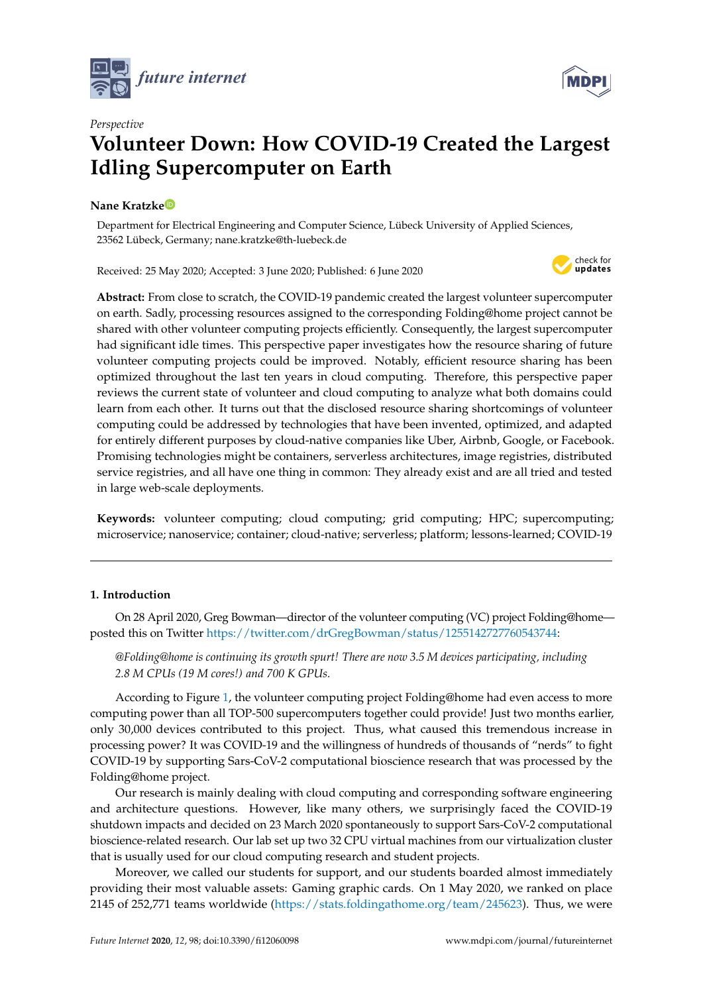



# *Perspective* **Volunteer Down: How COVID-19 Created the Largest Idling Supercomputer on Earth**

## **Nane Kratzk[e](https://orcid.org/0000-0001-5130-4969)**

Department for Electrical Engineering and Computer Science, Lübeck University of Applied Sciences, 23562 Lübeck, Germany; nane.kratzke@th-luebeck.de

Received: 25 May 2020; Accepted: 3 June 2020; Published: 6 June 2020



**Abstract:** From close to scratch, the COVID-19 pandemic created the largest volunteer supercomputer on earth. Sadly, processing resources assigned to the corresponding Folding@home project cannot be shared with other volunteer computing projects efficiently. Consequently, the largest supercomputer had significant idle times. This perspective paper investigates how the resource sharing of future volunteer computing projects could be improved. Notably, efficient resource sharing has been optimized throughout the last ten years in cloud computing. Therefore, this perspective paper reviews the current state of volunteer and cloud computing to analyze what both domains could learn from each other. It turns out that the disclosed resource sharing shortcomings of volunteer computing could be addressed by technologies that have been invented, optimized, and adapted for entirely different purposes by cloud-native companies like Uber, Airbnb, Google, or Facebook. Promising technologies might be containers, serverless architectures, image registries, distributed service registries, and all have one thing in common: They already exist and are all tried and tested in large web-scale deployments.

**Keywords:** volunteer computing; cloud computing; grid computing; HPC; supercomputing; microservice; nanoservice; container; cloud-native; serverless; platform; lessons-learned; COVID-19

## **1. Introduction**

On 28 April 2020, Greg Bowman—director of the volunteer computing (VC) project Folding@home posted this on Twitter [https://twitter.com/drGregBowman/status/1255142727760543744:](https://twitter.com/drGregBowman/status/1255142727760543744)

*@Folding@home is continuing its growth spurt! There are now 3.5 M devices participating, including 2.8 M CPUs (19 M cores!) and 700 K GPUs.*

According to Figure [1,](#page-1-0) the volunteer computing project Folding@home had even access to more computing power than all TOP-500 supercomputers together could provide! Just two months earlier, only 30,000 devices contributed to this project. Thus, what caused this tremendous increase in processing power? It was COVID-19 and the willingness of hundreds of thousands of "nerds" to fight COVID-19 by supporting Sars-CoV-2 computational bioscience research that was processed by the Folding@home project.

Our research is mainly dealing with cloud computing and corresponding software engineering and architecture questions. However, like many others, we surprisingly faced the COVID-19 shutdown impacts and decided on 23 March 2020 spontaneously to support Sars-CoV-2 computational bioscience-related research. Our lab set up two 32 CPU virtual machines from our virtualization cluster that is usually used for our cloud computing research and student projects.

Moreover, we called our students for support, and our students boarded almost immediately providing their most valuable assets: Gaming graphic cards. On 1 May 2020, we ranked on place 2145 of 252,771 teams worldwide [\(https://stats.foldingathome.org/team/245623\)](https://stats.foldingathome.org/team/245623). Thus, we were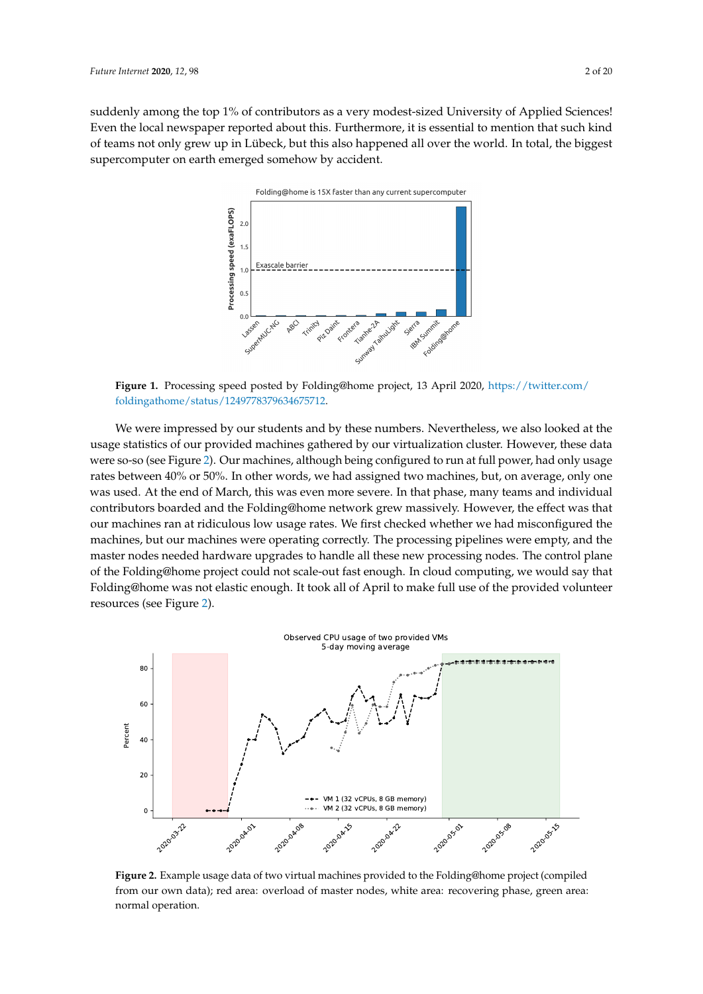<span id="page-1-0"></span>suddenly among the top 1% of contributors as a very modest-sized University of Applied Sciences! Even the local newspaper reported about this. Furthermore, it is essential to mention that such kind of teams not only grew up in Lübeck, but this also happened all over the world. In total, the biggest supercomputer on earth emerged somehow by accident.



**Figure 1.** Processing speed posted by Folding@home project, 13 April 2020, [https://twitter.com/](https://twitter.com/foldingathome/status/1249778379634675712) [foldingathome/status/1249778379634675712.](https://twitter.com/foldingathome/status/1249778379634675712)

We were impressed by our students and by these numbers. Nevertheless, we also looked at the usage statistics of our provided machines gathered by our virtualization cluster. However, these data were so-so (see Figure [2\)](#page-1-1). Our machines, although being configured to run at full power, had only usage rates between 40% or 50%. In other words, we had assigned two machines, but, on average, only one was used. At the end of March, this was even more severe. In that phase, many teams and individual contributors boarded and the Folding@home network grew massively. However, the effect was that our machines ran at ridiculous low usage rates. We first checked whether we had misconfigured the machines, but our machines were operating correctly. The processing pipelines were empty, and the master nodes needed hardware upgrades to handle all these new processing nodes. The control plane of the Folding@home project could not scale-out fast enough. In cloud computing, we would say that Folding@home was not elastic enough. It took all of April to make full use of the provided volunteer resources (see Figure [2\)](#page-1-1).

<span id="page-1-1"></span>

**Figure 2.** Example usage data of two virtual machines provided to the Folding@home project (compiled from our own data); red area: overload of master nodes, white area: recovering phase, green area: normal operation.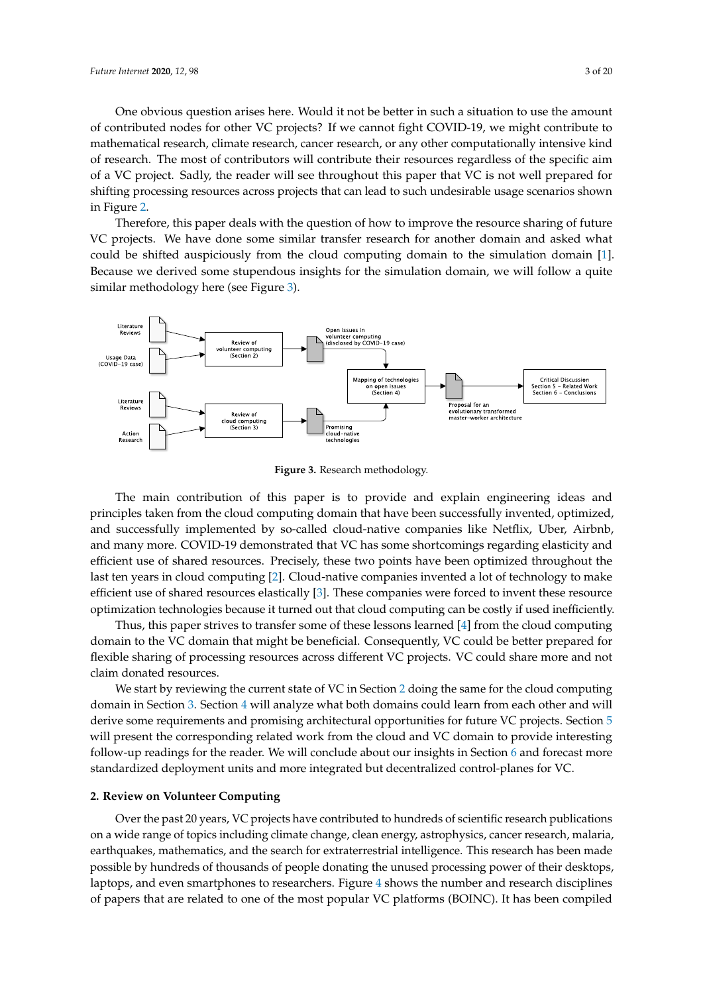One obvious question arises here. Would it not be better in such a situation to use the amount of contributed nodes for other VC projects? If we cannot fight COVID-19, we might contribute to mathematical research, climate research, cancer research, or any other computationally intensive kind of research. The most of contributors will contribute their resources regardless of the specific aim of a VC project. Sadly, the reader will see throughout this paper that VC is not well prepared for shifting processing resources across projects that can lead to such undesirable usage scenarios shown in Figure [2.](#page-1-1)

Therefore, this paper deals with the question of how to improve the resource sharing of future VC projects. We have done some similar transfer research for another domain and asked what could be shifted auspiciously from the cloud computing domain to the simulation domain [\[1\]](#page-15-0). Because we derived some stupendous insights for the simulation domain, we will follow a quite similar methodology here (see Figure [3\)](#page-2-0).

<span id="page-2-0"></span>

**Figure 3.** Research methodology.

The main contribution of this paper is to provide and explain engineering ideas and principles taken from the cloud computing domain that have been successfully invented, optimized, and successfully implemented by so-called cloud-native companies like Netflix, Uber, Airbnb, and many more. COVID-19 demonstrated that VC has some shortcomings regarding elasticity and efficient use of shared resources. Precisely, these two points have been optimized throughout the last ten years in cloud computing [\[2\]](#page-15-1). Cloud-native companies invented a lot of technology to make efficient use of shared resources elastically [\[3\]](#page-15-2). These companies were forced to invent these resource optimization technologies because it turned out that cloud computing can be costly if used inefficiently.

Thus, this paper strives to transfer some of these lessons learned [\[4\]](#page-15-3) from the cloud computing domain to the VC domain that might be beneficial. Consequently, VC could be better prepared for flexible sharing of processing resources across different VC projects. VC could share more and not claim donated resources.

We start by reviewing the current state of VC in Section [2](#page-2-1) doing the same for the cloud computing domain in Section [3.](#page-6-0) Section [4](#page-9-0) will analyze what both domains could learn from each other and will derive some requirements and promising architectural opportunities for future VC projects. Section [5](#page-13-0) will present the corresponding related work from the cloud and VC domain to provide interesting follow-up readings for the reader. We will conclude about our insights in Section [6](#page-14-0) and forecast more standardized deployment units and more integrated but decentralized control-planes for VC.

#### <span id="page-2-1"></span>**2. Review on Volunteer Computing**

Over the past 20 years, VC projects have contributed to hundreds of scientific research publications on a wide range of topics including climate change, clean energy, astrophysics, cancer research, malaria, earthquakes, mathematics, and the search for extraterrestrial intelligence. This research has been made possible by hundreds of thousands of people donating the unused processing power of their desktops, laptops, and even smartphones to researchers. Figure [4](#page-3-0) shows the number and research disciplines of papers that are related to one of the most popular VC platforms (BOINC). It has been compiled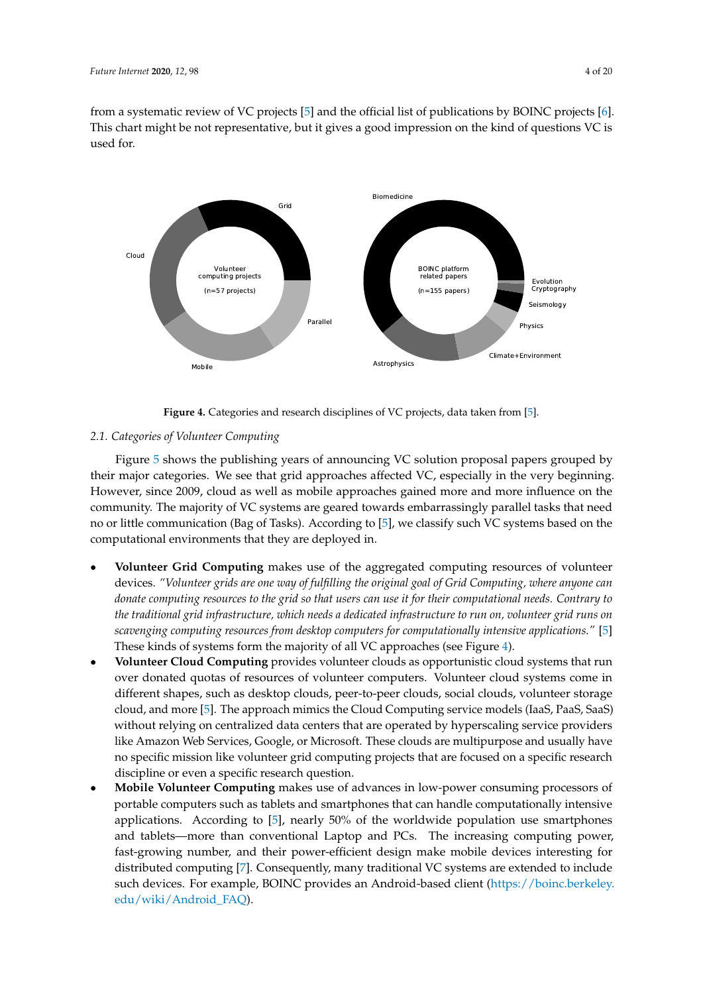from a systematic review of VC projects [\[5\]](#page-15-4) and the official list of publications by BOINC projects [\[6\]](#page-15-5). This chart might be not representative, but it gives a good impression on the kind of questions VC is used for.

<span id="page-3-0"></span>

**Figure 4.** Categories and research disciplines of VC projects, data taken from [\[5\]](#page-15-4).

## *2.1. Categories of Volunteer Computing*

Figure [5](#page-4-0) shows the publishing years of announcing VC solution proposal papers grouped by their major categories. We see that grid approaches affected VC, especially in the very beginning. However, since 2009, cloud as well as mobile approaches gained more and more influence on the community. The majority of VC systems are geared towards embarrassingly parallel tasks that need no or little communication (Bag of Tasks). According to [\[5\]](#page-15-4), we classify such VC systems based on the computational environments that they are deployed in.

- **Volunteer Grid Computing** makes use of the aggregated computing resources of volunteer devices. *"Volunteer grids are one way of fulfilling the original goal of Grid Computing, where anyone can donate computing resources to the grid so that users can use it for their computational needs. Contrary to the traditional grid infrastructure, which needs a dedicated infrastructure to run on, volunteer grid runs on scavenging computing resources from desktop computers for computationally intensive applications."* [\[5\]](#page-15-4) These kinds of systems form the majority of all VC approaches (see Figure [4\)](#page-3-0).
- **Volunteer Cloud Computing** provides volunteer clouds as opportunistic cloud systems that run over donated quotas of resources of volunteer computers. Volunteer cloud systems come in different shapes, such as desktop clouds, peer-to-peer clouds, social clouds, volunteer storage cloud, and more [\[5\]](#page-15-4). The approach mimics the Cloud Computing service models (IaaS, PaaS, SaaS) without relying on centralized data centers that are operated by hyperscaling service providers like Amazon Web Services, Google, or Microsoft. These clouds are multipurpose and usually have no specific mission like volunteer grid computing projects that are focused on a specific research discipline or even a specific research question.
- **Mobile Volunteer Computing** makes use of advances in low-power consuming processors of portable computers such as tablets and smartphones that can handle computationally intensive applications. According to [\[5\]](#page-15-4), nearly 50% of the worldwide population use smartphones and tablets—more than conventional Laptop and PCs. The increasing computing power, fast-growing number, and their power-efficient design make mobile devices interesting for distributed computing [\[7\]](#page-16-0). Consequently, many traditional VC systems are extended to include such devices. For example, BOINC provides an Android-based client [\(https://boinc.berkeley.](https://boinc.berkeley.edu/wiki/Android_FAQ) [edu/wiki/Android\\_FAQ\)](https://boinc.berkeley.edu/wiki/Android_FAQ).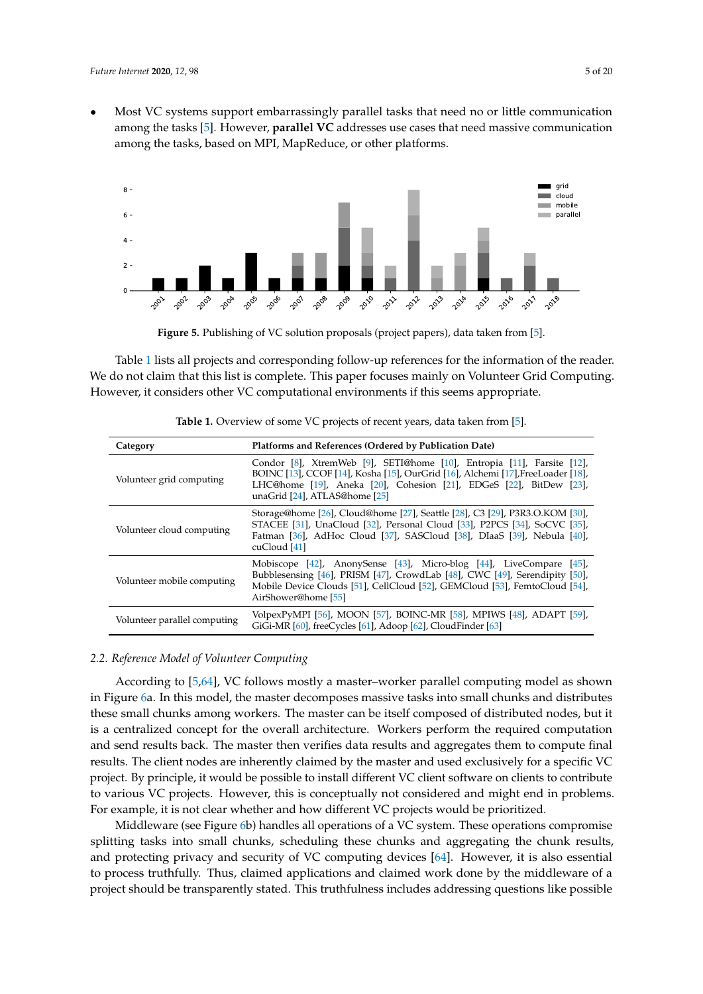• Most VC systems support embarrassingly parallel tasks that need no or little communication among the tasks [\[5\]](#page-15-4). However, **parallel VC** addresses use cases that need massive communication among the tasks, based on MPI, MapReduce, or other platforms.

<span id="page-4-0"></span>

**Figure 5.** Publishing of VC solution proposals (project papers), data taken from [\[5\]](#page-15-4).

Table [1](#page-4-1) lists all projects and corresponding follow-up references for the information of the reader. We do not claim that this list is complete. This paper focuses mainly on Volunteer Grid Computing. However, it considers other VC computational environments if this seems appropriate.

<span id="page-4-1"></span>

| Category                     | Platforms and References (Ordered by Publication Date)                                                                                                                                                                                                             |
|------------------------------|--------------------------------------------------------------------------------------------------------------------------------------------------------------------------------------------------------------------------------------------------------------------|
| Volunteer grid computing     | Condor [8], XtremWeb [9], SETI@home [10], Entropia [11], Farsite [12],<br>BOINC [13], CCOF [14], Kosha [15], OurGrid [16], Alchemi [17], FreeLoader [18],<br>LHC@home [19], Aneka [20], Cohesion [21], EDGeS [22], BitDew [23],<br>unaGrid [24], ATLAS@home [25]   |
| Volunteer cloud computing    | Storage@home [26], Cloud@home [27], Seattle [28], C3 [29], P3R3.O.KOM [30],<br>STACEE [31], UnaCloud [32], Personal Cloud [33], P2PCS [34], SoCVC [35],<br>Fatman [36], AdHoc Cloud [37], SASCloud [38], DIaaS [39], Nebula [40],<br>cuCloud [41]                  |
| Volunteer mobile computing   | Mobiscope $[42]$ , AnonySense $[43]$ , Micro-blog $[44]$ , LiveCompare $[45]$ ,<br>Bubblesensing [46], PRISM [47], CrowdLab [48], CWC [49], Serendipity [50],<br>Mobile Device Clouds [51], CellCloud [52], GEMCloud [53], FemtoCloud [54],<br>AirShower@home [55] |
| Volunteer parallel computing | VolpexPyMPI [56], MOON [57], BOINC-MR [58], MPIWS [48], ADAPT [59],<br>GiGi-MR [60], freeCycles [61], Adoop [62], CloudFinder [63]                                                                                                                                 |

**Table 1.** Overview of some VC projects of recent years, data taken from [\[5\]](#page-15-4).

## <span id="page-4-2"></span>*2.2. Reference Model of Volunteer Computing*

According to [\[5](#page-15-4)[,64\]](#page-19-2), VC follows mostly a master–worker parallel computing model as shown in Figure [6a](#page-5-0). In this model, the master decomposes massive tasks into small chunks and distributes these small chunks among workers. The master can be itself composed of distributed nodes, but it is a centralized concept for the overall architecture. Workers perform the required computation and send results back. The master then verifies data results and aggregates them to compute final results. The client nodes are inherently claimed by the master and used exclusively for a specific VC project. By principle, it would be possible to install different VC client software on clients to contribute to various VC projects. However, this is conceptually not considered and might end in problems. For example, it is not clear whether and how different VC projects would be prioritized.

Middleware (see Figure [6b](#page-5-0)) handles all operations of a VC system. These operations compromise splitting tasks into small chunks, scheduling these chunks and aggregating the chunk results, and protecting privacy and security of VC computing devices [\[64\]](#page-19-2). However, it is also essential to process truthfully. Thus, claimed applications and claimed work done by the middleware of a project should be transparently stated. This truthfulness includes addressing questions like possible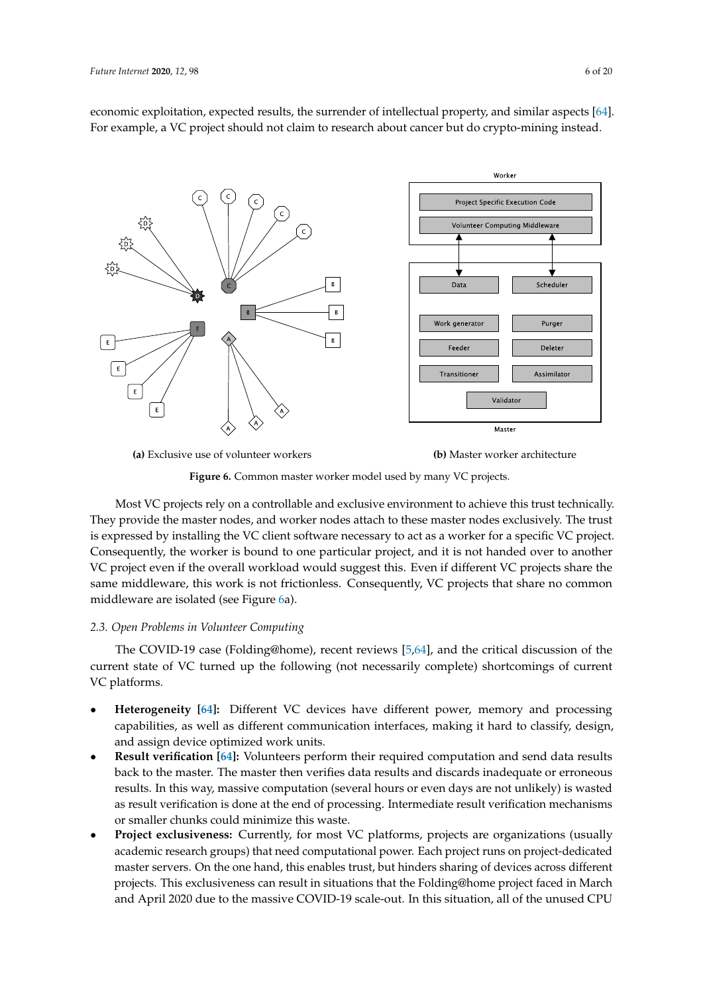economic exploitation, expected results, the surrender of intellectual property, and similar aspects [\[64\]](#page-19-2). For example, a VC project should not claim to research about cancer but do crypto-mining instead.

<span id="page-5-0"></span>

**(a)** Exclusive use of volunteer workers **(b)** Master worker architecture

**Figure 6.** Common master worker model used by many VC projects.

Most VC projects rely on a controllable and exclusive environment to achieve this trust technically. They provide the master nodes, and worker nodes attach to these master nodes exclusively. The trust is expressed by installing the VC client software necessary to act as a worker for a specific VC project. Consequently, the worker is bound to one particular project, and it is not handed over to another VC project even if the overall workload would suggest this. Even if different VC projects share the same middleware, this work is not frictionless. Consequently, VC projects that share no common middleware are isolated (see Figure [6a](#page-5-0)).

## <span id="page-5-1"></span>*2.3. Open Problems in Volunteer Computing*

The COVID-19 case (Folding@home), recent reviews [\[5,](#page-15-4)[64\]](#page-19-2), and the critical discussion of the current state of VC turned up the following (not necessarily complete) shortcomings of current VC platforms.

- **Heterogeneity [\[64\]](#page-19-2):** Different VC devices have different power, memory and processing capabilities, as well as different communication interfaces, making it hard to classify, design, and assign device optimized work units.
- **Result verification [\[64\]](#page-19-2):** Volunteers perform their required computation and send data results back to the master. The master then verifies data results and discards inadequate or erroneous results. In this way, massive computation (several hours or even days are not unlikely) is wasted as result verification is done at the end of processing. Intermediate result verification mechanisms or smaller chunks could minimize this waste.
- **Project exclusiveness:** Currently, for most VC platforms, projects are organizations (usually academic research groups) that need computational power. Each project runs on project-dedicated master servers. On the one hand, this enables trust, but hinders sharing of devices across different projects. This exclusiveness can result in situations that the Folding@home project faced in March and April 2020 due to the massive COVID-19 scale-out. In this situation, all of the unused CPU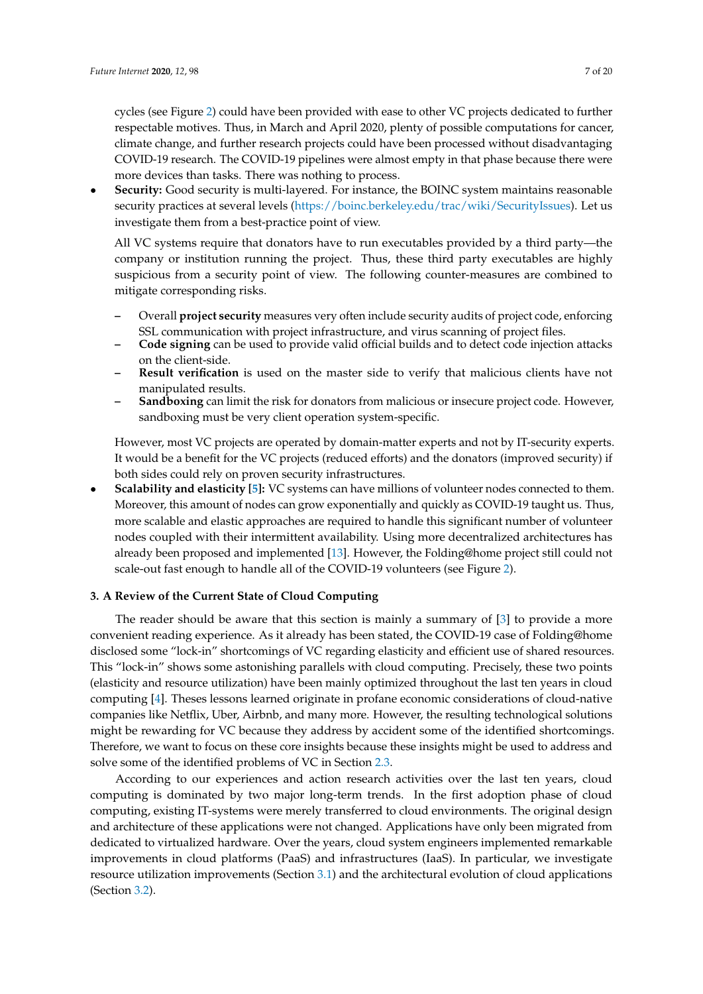cycles (see Figure [2\)](#page-1-1) could have been provided with ease to other VC projects dedicated to further respectable motives. Thus, in March and April 2020, plenty of possible computations for cancer, climate change, and further research projects could have been processed without disadvantaging COVID-19 research. The COVID-19 pipelines were almost empty in that phase because there were more devices than tasks. There was nothing to process.

• **Security:** Good security is multi-layered. For instance, the BOINC system maintains reasonable security practices at several levels [\(https://boinc.berkeley.edu/trac/wiki/SecurityIssues\)](https://boinc.berkeley.edu/trac/wiki/SecurityIssues). Let us investigate them from a best-practice point of view.

All VC systems require that donators have to run executables provided by a third party—the company or institution running the project. Thus, these third party executables are highly suspicious from a security point of view. The following counter-measures are combined to mitigate corresponding risks.

- **–** Overall **project security** measures very often include security audits of project code, enforcing SSL communication with project infrastructure, and virus scanning of project files.
- **– Code signing** can be used to provide valid official builds and to detect code injection attacks on the client-side.
- **– Result verification** is used on the master side to verify that malicious clients have not manipulated results.
- **– Sandboxing** can limit the risk for donators from malicious or insecure project code. However, sandboxing must be very client operation system-specific.

However, most VC projects are operated by domain-matter experts and not by IT-security experts. It would be a benefit for the VC projects (reduced efforts) and the donators (improved security) if both sides could rely on proven security infrastructures.

• **Scalability and elasticity [\[5\]](#page-15-4):** VC systems can have millions of volunteer nodes connected to them. Moreover, this amount of nodes can grow exponentially and quickly as COVID-19 taught us. Thus, more scalable and elastic approaches are required to handle this significant number of volunteer nodes coupled with their intermittent availability. Using more decentralized architectures has already been proposed and implemented [\[13\]](#page-16-6). However, the Folding@home project still could not scale-out fast enough to handle all of the COVID-19 volunteers (see Figure [2\)](#page-1-1).

## <span id="page-6-0"></span>**3. A Review of the Current State of Cloud Computing**

The reader should be aware that this section is mainly a summary of [\[3\]](#page-15-2) to provide a more convenient reading experience. As it already has been stated, the COVID-19 case of Folding@home disclosed some "lock-in" shortcomings of VC regarding elasticity and efficient use of shared resources. This "lock-in" shows some astonishing parallels with cloud computing. Precisely, these two points (elasticity and resource utilization) have been mainly optimized throughout the last ten years in cloud computing [\[4\]](#page-15-3). Theses lessons learned originate in profane economic considerations of cloud-native companies like Netflix, Uber, Airbnb, and many more. However, the resulting technological solutions might be rewarding for VC because they address by accident some of the identified shortcomings. Therefore, we want to focus on these core insights because these insights might be used to address and solve some of the identified problems of VC in Section [2.3.](#page-5-1)

According to our experiences and action research activities over the last ten years, cloud computing is dominated by two major long-term trends. In the first adoption phase of cloud computing, existing IT-systems were merely transferred to cloud environments. The original design and architecture of these applications were not changed. Applications have only been migrated from dedicated to virtualized hardware. Over the years, cloud system engineers implemented remarkable improvements in cloud platforms (PaaS) and infrastructures (IaaS). In particular, we investigate resource utilization improvements (Section [3.1\)](#page-7-0) and the architectural evolution of cloud applications (Section [3.2\)](#page-8-0).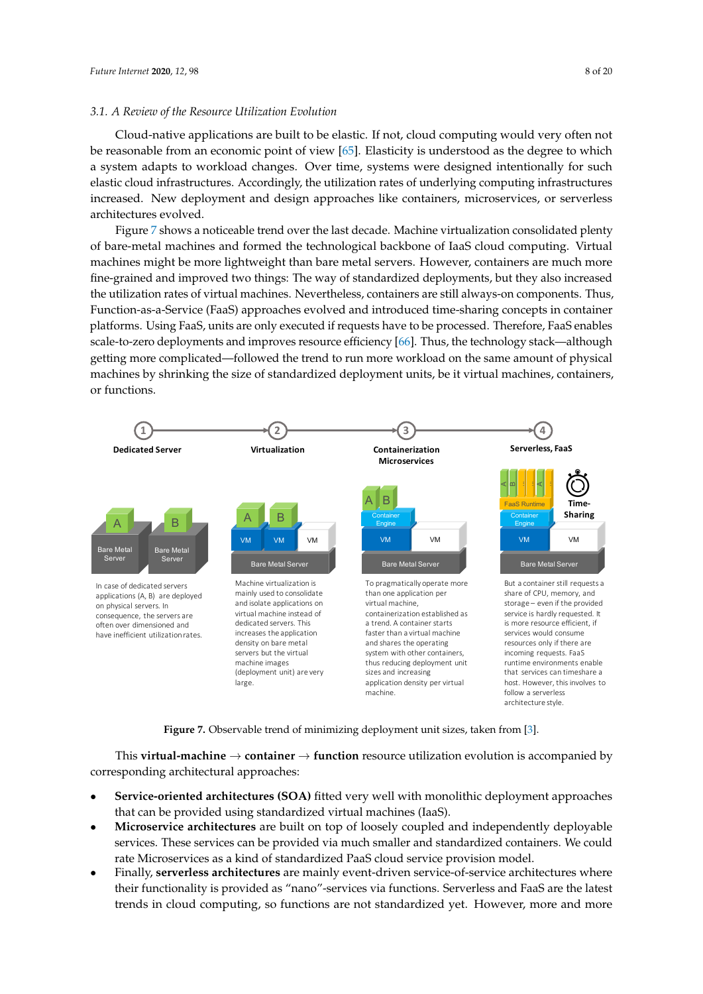#### <span id="page-7-0"></span>*3.1. A Review of the Resource Utilization Evolution*

Cloud-native applications are built to be elastic. If not, cloud computing would very often not be reasonable from an economic point of view [\[65\]](#page-19-3). Elasticity is understood as the degree to which a system adapts to workload changes. Over time, systems were designed intentionally for such elastic cloud infrastructures. Accordingly, the utilization rates of underlying computing infrastructures increased. New deployment and design approaches like containers, microservices, or serverless architectures evolved.

Figure [7](#page-7-1) shows a noticeable trend over the last decade. Machine virtualization consolidated plenty of bare-metal machines and formed the technological backbone of IaaS cloud computing. Virtual machines might be more lightweight than bare metal servers. However, containers are much more fine-grained and improved two things: The way of standardized deployments, but they also increased the utilization rates of virtual machines. Nevertheless, containers are still always-on components. Thus, Function-as-a-Service (FaaS) approaches evolved and introduced time-sharing concepts in container platforms. Using FaaS, units are only executed if requests have to be processed. Therefore, FaaS enables scale-to-zero deployments and improves resource efficiency [\[66\]](#page-19-4). Thus, the technology stack—although getting more complicated—followed the trend to run more workload on the same amount of physical machines by shrinking the size of standardized deployment units, be it virtual machines, containers, or functions.

<span id="page-7-1"></span>

**Figure 7.** Observable trend of minimizing deployment unit sizes, taken from [\[3\]](#page-15-2).

This **virtual-machine** → **container** → **function** resource utilization evolution is accompanied by corresponding architectural approaches:

- **Service-oriented architectures (SOA)** fitted very well with monolithic deployment approaches that can be provided using standardized virtual machines (IaaS).
- **Microservice architectures** are built on top of loosely coupled and independently deployable services. These services can be provided via much smaller and standardized containers. We could rate Microservices as a kind of standardized PaaS cloud service provision model.
- Finally, **serverless architectures** are mainly event-driven service-of-service architectures where their functionality is provided as "nano"-services via functions. Serverless and FaaS are the latest trends in cloud computing, so functions are not standardized yet. However, more and more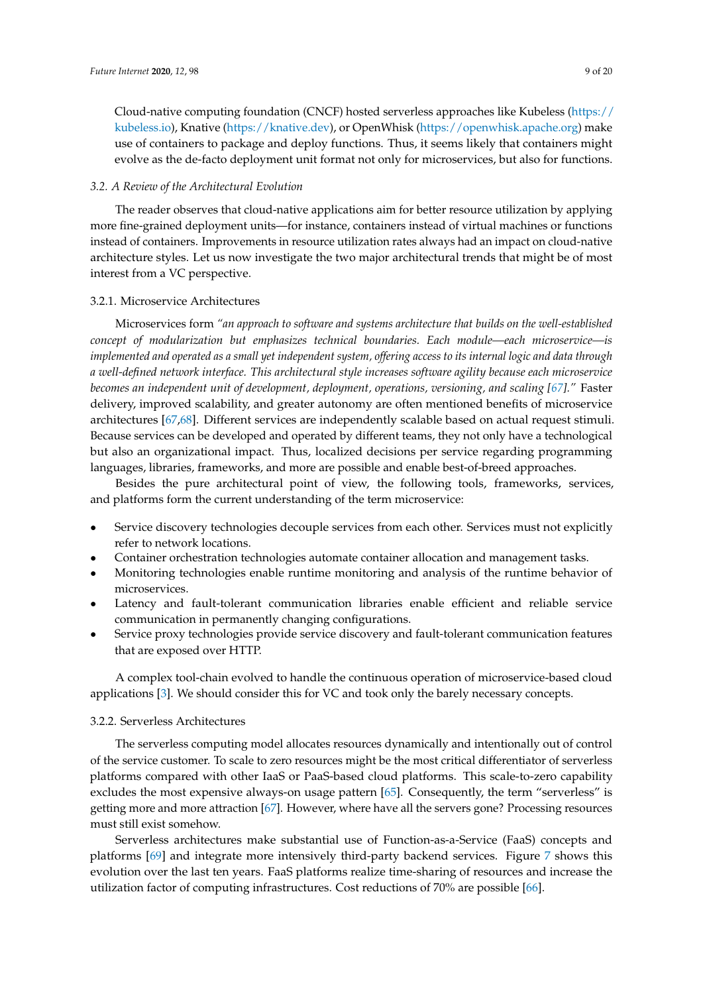Cloud-native computing foundation (CNCF) hosted serverless approaches like Kubeless [\(https://](https://kubeless.io) [kubeless.io\)](https://kubeless.io), Knative [\(https://knative.dev\)](https://knative.dev), or OpenWhisk [\(https://openwhisk.apache.org\)](https://openwhisk.apache.org) make use of containers to package and deploy functions. Thus, it seems likely that containers might evolve as the de-facto deployment unit format not only for microservices, but also for functions.

#### <span id="page-8-0"></span>*3.2. A Review of the Architectural Evolution*

The reader observes that cloud-native applications aim for better resource utilization by applying more fine-grained deployment units—for instance, containers instead of virtual machines or functions instead of containers. Improvements in resource utilization rates always had an impact on cloud-native architecture styles. Let us now investigate the two major architectural trends that might be of most interest from a VC perspective.

#### 3.2.1. Microservice Architectures

Microservices form *"an approach to software and systems architecture that builds on the well-established concept of modularization but emphasizes technical boundaries. Each module—each microservice—is implemented and operated as a small yet independent system, offering access to its internal logic and data through a well-defined network interface. This architectural style increases software agility because each microservice becomes an independent unit of development, deployment, operations, versioning, and scaling [\[67\]](#page-19-5)." Faster* delivery, improved scalability, and greater autonomy are often mentioned benefits of microservice architectures [\[67,](#page-19-5)[68\]](#page-19-6). Different services are independently scalable based on actual request stimuli. Because services can be developed and operated by different teams, they not only have a technological but also an organizational impact. Thus, localized decisions per service regarding programming languages, libraries, frameworks, and more are possible and enable best-of-breed approaches.

Besides the pure architectural point of view, the following tools, frameworks, services, and platforms form the current understanding of the term microservice:

- Service discovery technologies decouple services from each other. Services must not explicitly refer to network locations.
- Container orchestration technologies automate container allocation and management tasks.
- Monitoring technologies enable runtime monitoring and analysis of the runtime behavior of microservices.
- Latency and fault-tolerant communication libraries enable efficient and reliable service communication in permanently changing configurations.
- Service proxy technologies provide service discovery and fault-tolerant communication features that are exposed over HTTP.

A complex tool-chain evolved to handle the continuous operation of microservice-based cloud applications [\[3\]](#page-15-2). We should consider this for VC and took only the barely necessary concepts.

#### 3.2.2. Serverless Architectures

The serverless computing model allocates resources dynamically and intentionally out of control of the service customer. To scale to zero resources might be the most critical differentiator of serverless platforms compared with other IaaS or PaaS-based cloud platforms. This scale-to-zero capability excludes the most expensive always-on usage pattern [\[65\]](#page-19-3). Consequently, the term "serverless" is getting more and more attraction [\[67\]](#page-19-5). However, where have all the servers gone? Processing resources must still exist somehow.

Serverless architectures make substantial use of Function-as-a-Service (FaaS) concepts and platforms [\[69\]](#page-19-7) and integrate more intensively third-party backend services. Figure [7](#page-7-1) shows this evolution over the last ten years. FaaS platforms realize time-sharing of resources and increase the utilization factor of computing infrastructures. Cost reductions of 70% are possible [\[66\]](#page-19-4).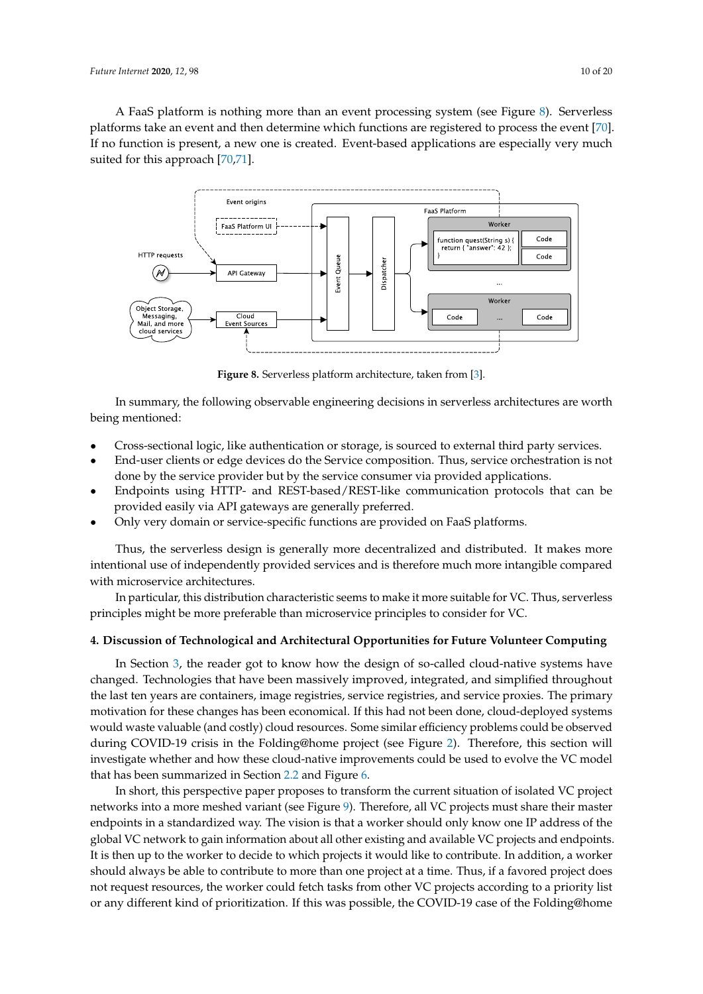A FaaS platform is nothing more than an event processing system (see Figure [8\)](#page-9-1). Serverless platforms take an event and then determine which functions are registered to process the event [\[70\]](#page-19-8). If no function is present, a new one is created. Event-based applications are especially very much suited for this approach [\[70,](#page-19-8)[71\]](#page-19-9).

<span id="page-9-1"></span>

**Figure 8.** Serverless platform architecture, taken from [\[3\]](#page-15-2).

In summary, the following observable engineering decisions in serverless architectures are worth being mentioned:

- Cross-sectional logic, like authentication or storage, is sourced to external third party services.
- End-user clients or edge devices do the Service composition. Thus, service orchestration is not done by the service provider but by the service consumer via provided applications.
- Endpoints using HTTP- and REST-based/REST-like communication protocols that can be provided easily via API gateways are generally preferred.
- Only very domain or service-specific functions are provided on FaaS platforms.

Thus, the serverless design is generally more decentralized and distributed. It makes more intentional use of independently provided services and is therefore much more intangible compared with microservice architectures.

In particular, this distribution characteristic seems to make it more suitable for VC. Thus, serverless principles might be more preferable than microservice principles to consider for VC.

#### <span id="page-9-0"></span>**4. Discussion of Technological and Architectural Opportunities for Future Volunteer Computing**

In Section [3,](#page-6-0) the reader got to know how the design of so-called cloud-native systems have changed. Technologies that have been massively improved, integrated, and simplified throughout the last ten years are containers, image registries, service registries, and service proxies. The primary motivation for these changes has been economical. If this had not been done, cloud-deployed systems would waste valuable (and costly) cloud resources. Some similar efficiency problems could be observed during COVID-19 crisis in the Folding@home project (see Figure [2\)](#page-1-1). Therefore, this section will investigate whether and how these cloud-native improvements could be used to evolve the VC model that has been summarized in Section [2.2](#page-4-2) and Figure [6.](#page-5-0)

In short, this perspective paper proposes to transform the current situation of isolated VC project networks into a more meshed variant (see Figure [9\)](#page-10-0). Therefore, all VC projects must share their master endpoints in a standardized way. The vision is that a worker should only know one IP address of the global VC network to gain information about all other existing and available VC projects and endpoints. It is then up to the worker to decide to which projects it would like to contribute. In addition, a worker should always be able to contribute to more than one project at a time. Thus, if a favored project does not request resources, the worker could fetch tasks from other VC projects according to a priority list or any different kind of prioritization. If this was possible, the COVID-19 case of the Folding@home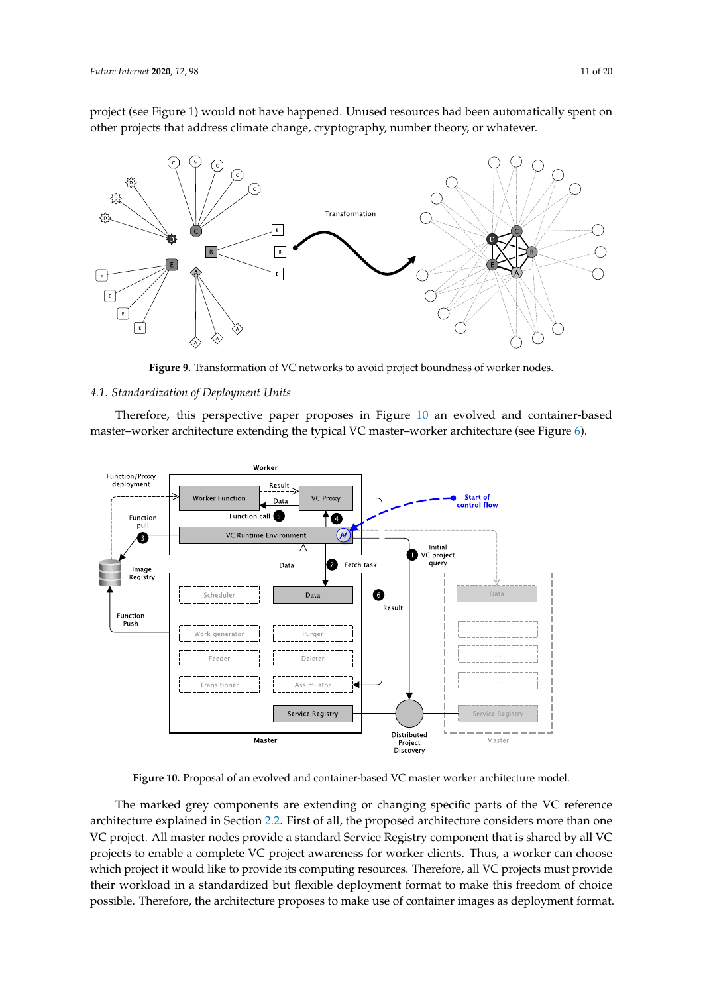project (see Figure [1\)](#page-1-0) would not have happened. Unused resources had been automatically spent on other projects that address climate change, cryptography, number theory, or whatever.

<span id="page-10-0"></span>

**Figure 9.** Transformation of VC networks to avoid project boundness of worker nodes.

## *4.1. Standardization of Deployment Units*

Therefore, this perspective paper proposes in Figure [10](#page-10-1) an evolved and container-based master–worker architecture extending the typical VC master–worker architecture (see Figure [6\)](#page-5-0).

<span id="page-10-1"></span>

**Figure 10.** Proposal of an evolved and container-based VC master worker architecture model.

The marked grey components are extending or changing specific parts of the VC reference architecture explained in Section [2.2.](#page-4-2) First of all, the proposed architecture considers more than one VC project. All master nodes provide a standard Service Registry component that is shared by all VC projects to enable a complete VC project awareness for worker clients. Thus, a worker can choose which project it would like to provide its computing resources. Therefore, all VC projects must provide their workload in a standardized but flexible deployment format to make this freedom of choice possible. Therefore, the architecture proposes to make use of container images as deployment format.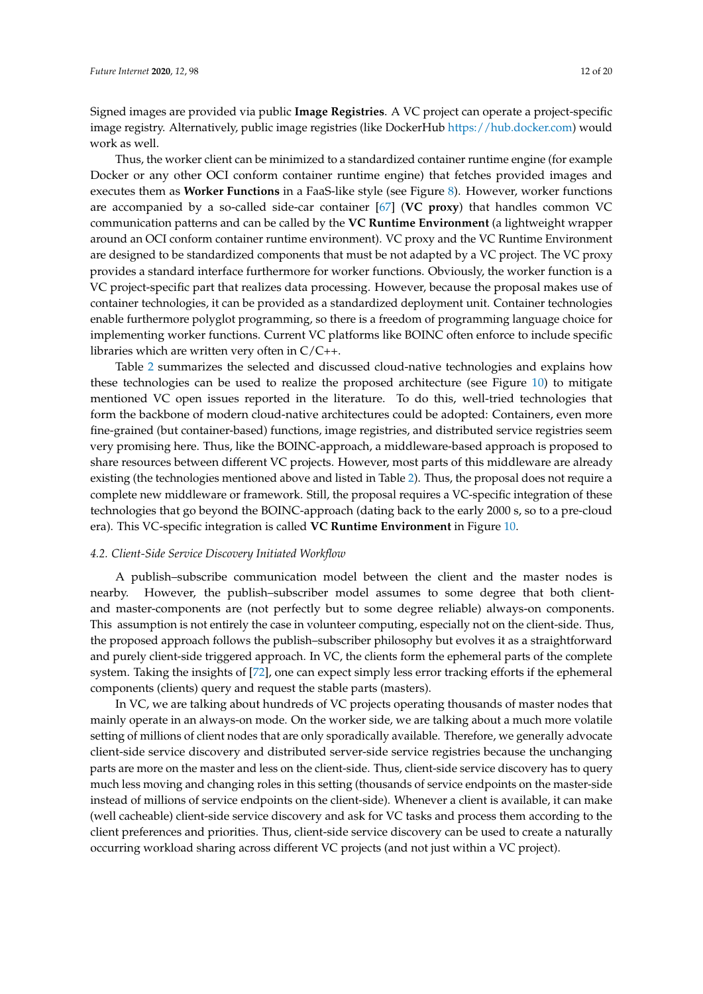Signed images are provided via public **Image Registries**. A VC project can operate a project-specific image registry. Alternatively, public image registries (like DockerHub [https://hub.docker.com\)](https://hub.docker.com) would work as well.

Thus, the worker client can be minimized to a standardized container runtime engine (for example Docker or any other OCI conform container runtime engine) that fetches provided images and executes them as **Worker Functions** in a FaaS-like style (see Figure [8\)](#page-9-1). However, worker functions are accompanied by a so-called side-car container [\[67\]](#page-19-5) (**VC proxy**) that handles common VC communication patterns and can be called by the **VC Runtime Environment** (a lightweight wrapper around an OCI conform container runtime environment). VC proxy and the VC Runtime Environment are designed to be standardized components that must be not adapted by a VC project. The VC proxy provides a standard interface furthermore for worker functions. Obviously, the worker function is a VC project-specific part that realizes data processing. However, because the proposal makes use of container technologies, it can be provided as a standardized deployment unit. Container technologies enable furthermore polyglot programming, so there is a freedom of programming language choice for implementing worker functions. Current VC platforms like BOINC often enforce to include specific libraries which are written very often in  $C/C++$ .

Table [2](#page-12-0) summarizes the selected and discussed cloud-native technologies and explains how these technologies can be used to realize the proposed architecture (see Figure [10\)](#page-10-1) to mitigate mentioned VC open issues reported in the literature. To do this, well-tried technologies that form the backbone of modern cloud-native architectures could be adopted: Containers, even more fine-grained (but container-based) functions, image registries, and distributed service registries seem very promising here. Thus, like the BOINC-approach, a middleware-based approach is proposed to share resources between different VC projects. However, most parts of this middleware are already existing (the technologies mentioned above and listed in Table [2\)](#page-12-0). Thus, the proposal does not require a complete new middleware or framework. Still, the proposal requires a VC-specific integration of these technologies that go beyond the BOINC-approach (dating back to the early 2000 s, so to a pre-cloud era). This VC-specific integration is called **VC Runtime Environment** in Figure [10.](#page-10-1)

#### *4.2. Client-Side Service Discovery Initiated Workflow*

A publish–subscribe communication model between the client and the master nodes is nearby. However, the publish–subscriber model assumes to some degree that both clientand master-components are (not perfectly but to some degree reliable) always-on components. This assumption is not entirely the case in volunteer computing, especially not on the client-side. Thus, the proposed approach follows the publish–subscriber philosophy but evolves it as a straightforward and purely client-side triggered approach. In VC, the clients form the ephemeral parts of the complete system. Taking the insights of [\[72\]](#page-19-10), one can expect simply less error tracking efforts if the ephemeral components (clients) query and request the stable parts (masters).

In VC, we are talking about hundreds of VC projects operating thousands of master nodes that mainly operate in an always-on mode. On the worker side, we are talking about a much more volatile setting of millions of client nodes that are only sporadically available. Therefore, we generally advocate client-side service discovery and distributed server-side service registries because the unchanging parts are more on the master and less on the client-side. Thus, client-side service discovery has to query much less moving and changing roles in this setting (thousands of service endpoints on the master-side instead of millions of service endpoints on the client-side). Whenever a client is available, it can make (well cacheable) client-side service discovery and ask for VC tasks and process them according to the client preferences and priorities. Thus, client-side service discovery can be used to create a naturally occurring workload sharing across different VC projects (and not just within a VC project).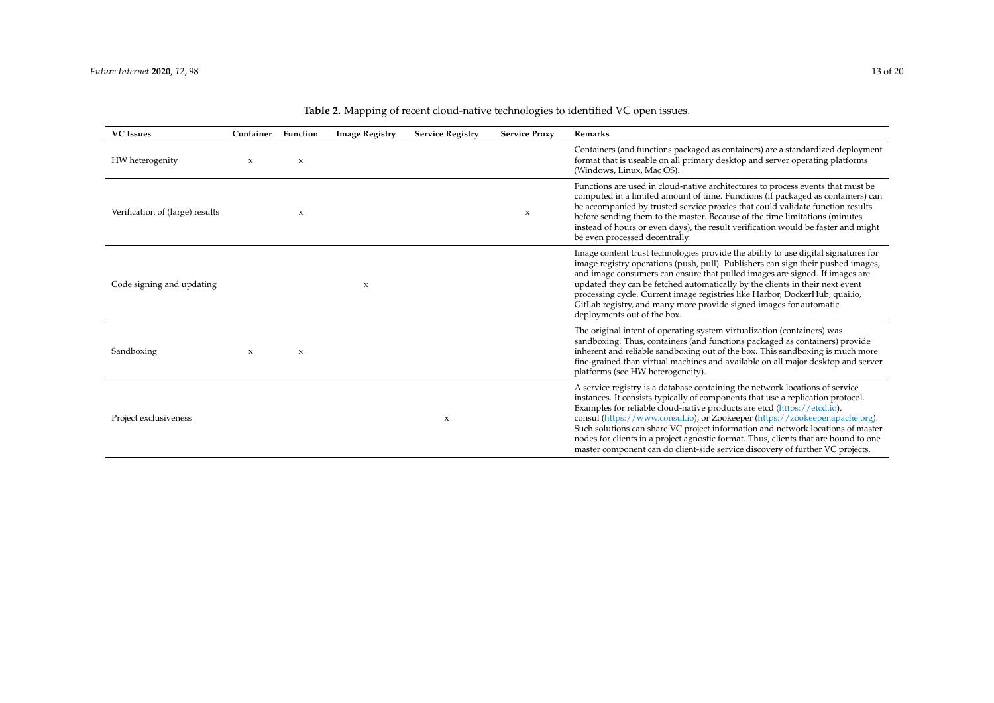<span id="page-12-0"></span>

| <b>VC</b> Issues                | Container   | Function                  | <b>Image Registry</b>     | <b>Service Registry</b> | <b>Service Proxy</b> | <b>Remarks</b>                                                                                                                                                                                                                                                                                                                                                                                                                                                                                                                                                                        |
|---------------------------------|-------------|---------------------------|---------------------------|-------------------------|----------------------|---------------------------------------------------------------------------------------------------------------------------------------------------------------------------------------------------------------------------------------------------------------------------------------------------------------------------------------------------------------------------------------------------------------------------------------------------------------------------------------------------------------------------------------------------------------------------------------|
| HW heterogenity                 | $\mathbf x$ | $\boldsymbol{\mathsf{x}}$ |                           |                         |                      | Containers (and functions packaged as containers) are a standardized deployment<br>format that is useable on all primary desktop and server operating platforms<br>(Windows, Linux, Mac OS).                                                                                                                                                                                                                                                                                                                                                                                          |
| Verification of (large) results |             | X                         |                           |                         | X                    | Functions are used in cloud-native architectures to process events that must be<br>computed in a limited amount of time. Functions (if packaged as containers) can<br>be accompanied by trusted service proxies that could validate function results<br>before sending them to the master. Because of the time limitations (minutes<br>instead of hours or even days), the result verification would be faster and might<br>be even processed decentrally.                                                                                                                            |
| Code signing and updating       |             |                           | $\boldsymbol{\mathsf{x}}$ |                         |                      | Image content trust technologies provide the ability to use digital signatures for<br>image registry operations (push, pull). Publishers can sign their pushed images,<br>and image consumers can ensure that pulled images are signed. If images are<br>updated they can be fetched automatically by the clients in their next event<br>processing cycle. Current image registries like Harbor, DockerHub, quai.io,<br>GitLab registry, and many more provide signed images for automatic<br>deployments out of the box.                                                             |
| Sandboxing                      | X           | X                         |                           |                         |                      | The original intent of operating system virtualization (containers) was<br>sandboxing. Thus, containers (and functions packaged as containers) provide<br>inherent and reliable sandboxing out of the box. This sandboxing is much more<br>fine-grained than virtual machines and available on all major desktop and server<br>platforms (see HW heterogeneity).                                                                                                                                                                                                                      |
| Project exclusiveness           |             |                           |                           | X                       |                      | A service registry is a database containing the network locations of service<br>instances. It consists typically of components that use a replication protocol.<br>Examples for reliable cloud-native products are etcd (https://etcd.io),<br>consul (https://www.consul.io), or Zookeeper (https://zookeeper.apache.org).<br>Such solutions can share VC project information and network locations of master<br>nodes for clients in a project agnostic format. Thus, clients that are bound to one<br>master component can do client-side service discovery of further VC projects. |

|  |  |  |  |  |  | Table 2. Mapping of recent cloud-native technologies to identified VC open issues. |
|--|--|--|--|--|--|------------------------------------------------------------------------------------|
|--|--|--|--|--|--|------------------------------------------------------------------------------------|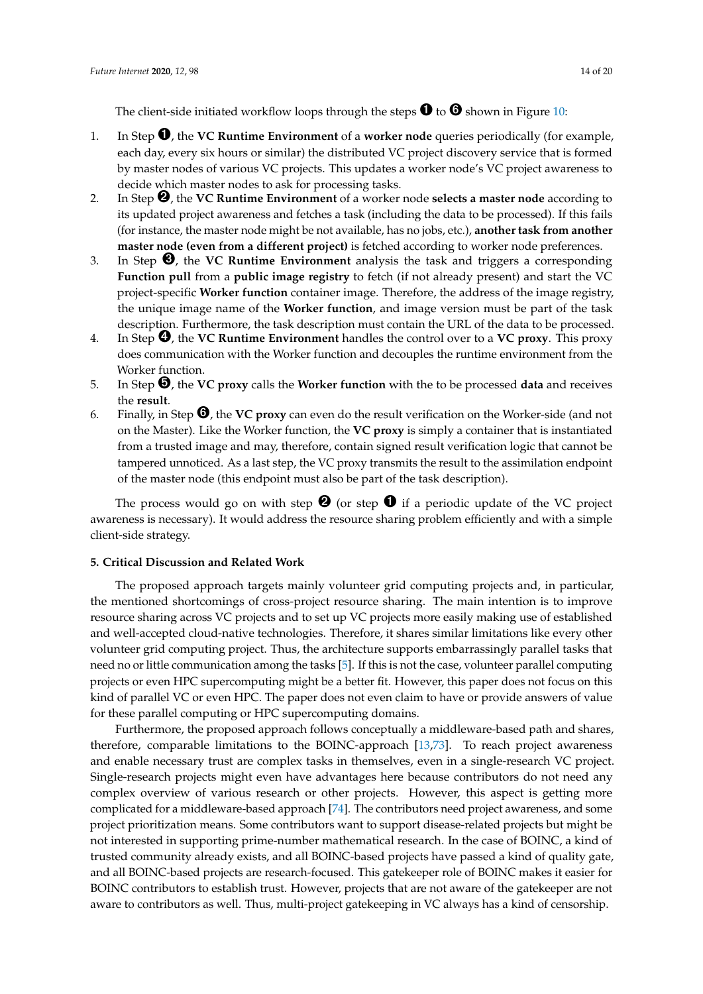The client-side initiated workflow loops through the steps  $\mathbf 0$  to  $\mathbf 0$  shown in Figure [10:](#page-10-1)

- 1. In Step ➊, the **VC Runtime Environment** of a **worker node** queries periodically (for example, each day, every six hours or similar) the distributed VC project discovery service that is formed by master nodes of various VC projects. This updates a worker node's VC project awareness to decide which master nodes to ask for processing tasks.
- 2. In Step ➋, the **VC Runtime Environment** of a worker node **selects a master node** according to its updated project awareness and fetches a task (including the data to be processed). If this fails (for instance, the master node might be not available, has no jobs, etc.), **another task from another master node (even from a different project)** is fetched according to worker node preferences.
- 3. In Step ➌, the **VC Runtime Environment** analysis the task and triggers a corresponding **Function pull** from a **public image registry** to fetch (if not already present) and start the VC project-specific **Worker function** container image. Therefore, the address of the image registry, the unique image name of the **Worker function**, and image version must be part of the task description. Furthermore, the task description must contain the URL of the data to be processed.
- 4. In Step ➍, the **VC Runtime Environment** handles the control over to a **VC proxy**. This proxy does communication with the Worker function and decouples the runtime environment from the Worker function.
- 5. In Step ➎, the **VC proxy** calls the **Worker function** with the to be processed **data** and receives the **result**.
- 6. Finally, in Step ➏, the **VC proxy** can even do the result verification on the Worker-side (and not on the Master). Like the Worker function, the **VC proxy** is simply a container that is instantiated from a trusted image and may, therefore, contain signed result verification logic that cannot be tampered unnoticed. As a last step, the VC proxy transmits the result to the assimilation endpoint of the master node (this endpoint must also be part of the task description).

The process would go on with step  $\bigcirc$  (or step  $\bigcirc$  if a periodic update of the VC project awareness is necessary). It would address the resource sharing problem efficiently and with a simple client-side strategy.

## <span id="page-13-0"></span>**5. Critical Discussion and Related Work**

The proposed approach targets mainly volunteer grid computing projects and, in particular, the mentioned shortcomings of cross-project resource sharing. The main intention is to improve resource sharing across VC projects and to set up VC projects more easily making use of established and well-accepted cloud-native technologies. Therefore, it shares similar limitations like every other volunteer grid computing project. Thus, the architecture supports embarrassingly parallel tasks that need no or little communication among the tasks [\[5\]](#page-15-4). If this is not the case, volunteer parallel computing projects or even HPC supercomputing might be a better fit. However, this paper does not focus on this kind of parallel VC or even HPC. The paper does not even claim to have or provide answers of value for these parallel computing or HPC supercomputing domains.

Furthermore, the proposed approach follows conceptually a middleware-based path and shares, therefore, comparable limitations to the BOINC-approach [\[13](#page-16-6)[,73\]](#page-19-11). To reach project awareness and enable necessary trust are complex tasks in themselves, even in a single-research VC project. Single-research projects might even have advantages here because contributors do not need any complex overview of various research or other projects. However, this aspect is getting more complicated for a middleware-based approach [\[74\]](#page-19-12). The contributors need project awareness, and some project prioritization means. Some contributors want to support disease-related projects but might be not interested in supporting prime-number mathematical research. In the case of BOINC, a kind of trusted community already exists, and all BOINC-based projects have passed a kind of quality gate, and all BOINC-based projects are research-focused. This gatekeeper role of BOINC makes it easier for BOINC contributors to establish trust. However, projects that are not aware of the gatekeeper are not aware to contributors as well. Thus, multi-project gatekeeping in VC always has a kind of censorship.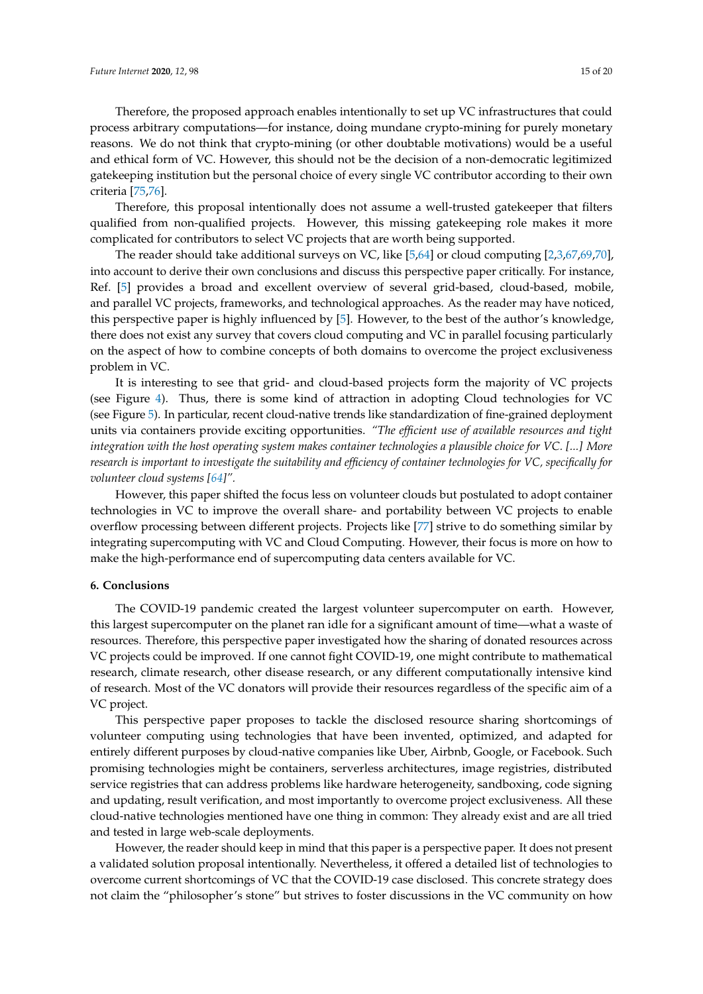Therefore, the proposed approach enables intentionally to set up VC infrastructures that could process arbitrary computations—for instance, doing mundane crypto-mining for purely monetary reasons. We do not think that crypto-mining (or other doubtable motivations) would be a useful and ethical form of VC. However, this should not be the decision of a non-democratic legitimized gatekeeping institution but the personal choice of every single VC contributor according to their own criteria [\[75](#page-19-13)[,76\]](#page-19-14).

Therefore, this proposal intentionally does not assume a well-trusted gatekeeper that filters qualified from non-qualified projects. However, this missing gatekeeping role makes it more complicated for contributors to select VC projects that are worth being supported.

The reader should take additional surveys on VC, like [\[5](#page-15-4)[,64\]](#page-19-2) or cloud computing [\[2](#page-15-1)[,3](#page-15-2)[,67,](#page-19-5)[69,](#page-19-7)[70\]](#page-19-8), into account to derive their own conclusions and discuss this perspective paper critically. For instance, Ref. [\[5\]](#page-15-4) provides a broad and excellent overview of several grid-based, cloud-based, mobile, and parallel VC projects, frameworks, and technological approaches. As the reader may have noticed, this perspective paper is highly influenced by [\[5\]](#page-15-4). However, to the best of the author's knowledge, there does not exist any survey that covers cloud computing and VC in parallel focusing particularly on the aspect of how to combine concepts of both domains to overcome the project exclusiveness problem in VC.

It is interesting to see that grid- and cloud-based projects form the majority of VC projects (see Figure [4\)](#page-3-0). Thus, there is some kind of attraction in adopting Cloud technologies for VC (see Figure [5\)](#page-4-0). In particular, recent cloud-native trends like standardization of fine-grained deployment units via containers provide exciting opportunities. *"The efficient use of available resources and tight integration with the host operating system makes container technologies a plausible choice for VC. [...] More research is important to investigate the suitability and efficiency of container technologies for VC, specifically for volunteer cloud systems [\[64\]](#page-19-2)".*

However, this paper shifted the focus less on volunteer clouds but postulated to adopt container technologies in VC to improve the overall share- and portability between VC projects to enable overflow processing between different projects. Projects like [\[77\]](#page-19-15) strive to do something similar by integrating supercomputing with VC and Cloud Computing. However, their focus is more on how to make the high-performance end of supercomputing data centers available for VC.

## <span id="page-14-0"></span>**6. Conclusions**

The COVID-19 pandemic created the largest volunteer supercomputer on earth. However, this largest supercomputer on the planet ran idle for a significant amount of time—what a waste of resources. Therefore, this perspective paper investigated how the sharing of donated resources across VC projects could be improved. If one cannot fight COVID-19, one might contribute to mathematical research, climate research, other disease research, or any different computationally intensive kind of research. Most of the VC donators will provide their resources regardless of the specific aim of a VC project.

This perspective paper proposes to tackle the disclosed resource sharing shortcomings of volunteer computing using technologies that have been invented, optimized, and adapted for entirely different purposes by cloud-native companies like Uber, Airbnb, Google, or Facebook. Such promising technologies might be containers, serverless architectures, image registries, distributed service registries that can address problems like hardware heterogeneity, sandboxing, code signing and updating, result verification, and most importantly to overcome project exclusiveness. All these cloud-native technologies mentioned have one thing in common: They already exist and are all tried and tested in large web-scale deployments.

However, the reader should keep in mind that this paper is a perspective paper. It does not present a validated solution proposal intentionally. Nevertheless, it offered a detailed list of technologies to overcome current shortcomings of VC that the COVID-19 case disclosed. This concrete strategy does not claim the "philosopher's stone" but strives to foster discussions in the VC community on how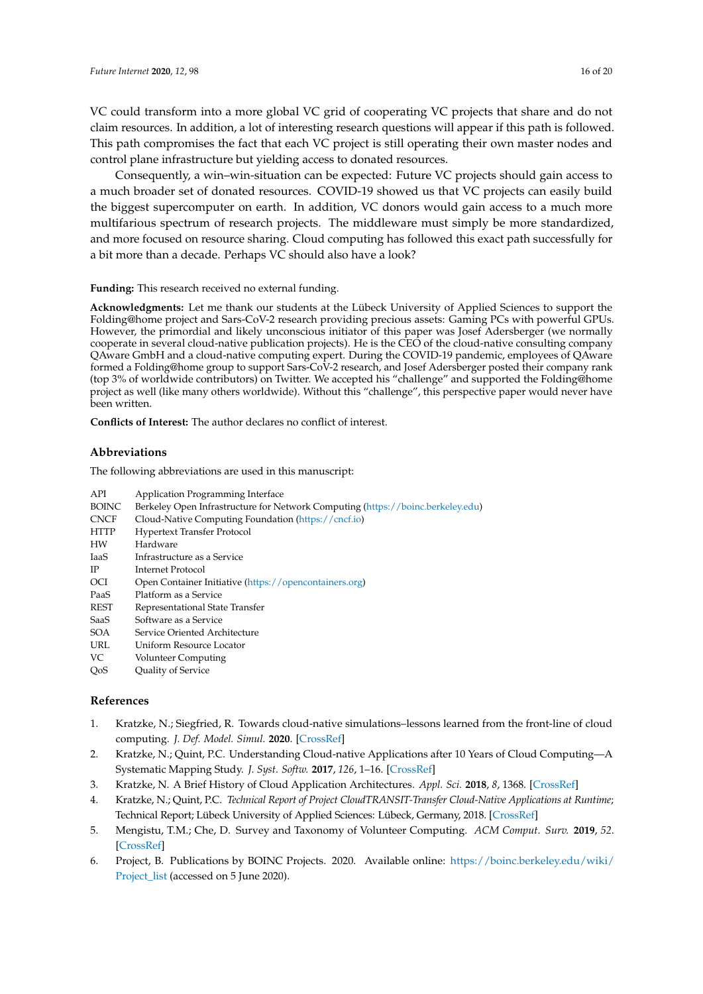VC could transform into a more global VC grid of cooperating VC projects that share and do not claim resources. In addition, a lot of interesting research questions will appear if this path is followed. This path compromises the fact that each VC project is still operating their own master nodes and control plane infrastructure but yielding access to donated resources.

Consequently, a win–win-situation can be expected: Future VC projects should gain access to a much broader set of donated resources. COVID-19 showed us that VC projects can easily build the biggest supercomputer on earth. In addition, VC donors would gain access to a much more multifarious spectrum of research projects. The middleware must simply be more standardized, and more focused on resource sharing. Cloud computing has followed this exact path successfully for a bit more than a decade. Perhaps VC should also have a look?

**Funding:** This research received no external funding.

**Acknowledgments:** Let me thank our students at the Lübeck University of Applied Sciences to support the Folding@home project and Sars-CoV-2 research providing precious assets: Gaming PCs with powerful GPUs. However, the primordial and likely unconscious initiator of this paper was Josef Adersberger (we normally cooperate in several cloud-native publication projects). He is the CEO of the cloud-native consulting company QAware GmbH and a cloud-native computing expert. During the COVID-19 pandemic, employees of QAware formed a Folding@home group to support Sars-CoV-2 research, and Josef Adersberger posted their company rank (top 3% of worldwide contributors) on Twitter. We accepted his "challenge" and supported the Folding@home project as well (like many others worldwide). Without this "challenge", this perspective paper would never have been written.

**Conflicts of Interest:** The author declares no conflict of interest.

## **Abbreviations**

The following abbreviations are used in this manuscript:

| <b>API</b>   | <b>Application Programming Interface</b>                                        |
|--------------|---------------------------------------------------------------------------------|
| <b>BOINC</b> | Berkeley Open Infrastructure for Network Computing (https://boinc.berkeley.edu) |
| <b>CNCF</b>  | Cloud-Native Computing Foundation (https://cncf.io)                             |
| <b>HTTP</b>  | <b>Hypertext Transfer Protocol</b>                                              |
| HW           | Hardware                                                                        |
| IaaS         | Infrastructure as a Service                                                     |
| IP           | Internet Protocol                                                               |
| <b>OCI</b>   | Open Container Initiative (https://opencontainers.org)                          |
| PaaS         | Platform as a Service                                                           |
| REST         | Representational State Transfer                                                 |
| SaaS         | Software as a Service                                                           |
| SOA          | Service Oriented Architecture                                                   |
| URL          | Uniform Resource Locator                                                        |
| VC           | Volunteer Computing                                                             |
| OoS          | Quality of Service                                                              |
| References   |                                                                                 |
|              |                                                                                 |

- <span id="page-15-0"></span>1. Kratzke, N.; Siegfried, R. Towards cloud-native simulations–lessons learned from the front-line of cloud computing. *J. Def. Model. Simul.* **2020**. [\[CrossRef\]](http://dx.doi.org/10.1177/1548512919895327)
- <span id="page-15-1"></span>2. Kratzke, N.; Quint, P.C. Understanding Cloud-native Applications after 10 Years of Cloud Computing—A Systematic Mapping Study. *J. Syst. Softw.* **2017**, *126*, 1–16. [\[CrossRef\]](http://dx.doi.org/10.1016/j.jss.2017.01.001)
- <span id="page-15-2"></span>3. Kratzke, N. A Brief History of Cloud Application Architectures. *Appl. Sci.* **2018**, *8*, 1368. [\[CrossRef\]](http://dx.doi.org/10.3390/app8081368)
- <span id="page-15-3"></span>4. Kratzke, N.; Quint, P.C. *Technical Report of Project CloudTRANSIT-Transfer Cloud-Native Applications at Runtime*; Technical Report; Lübeck University of Applied Sciences: Lübeck, Germany, 2018. [\[CrossRef\]](http://dx.doi.org/10.2314/KXP:1678556971)
- <span id="page-15-4"></span>5. Mengistu, T.M.; Che, D. Survey and Taxonomy of Volunteer Computing. *ACM Comput. Surv.* **2019**, *52*. [\[CrossRef\]](http://dx.doi.org/10.1145/3320073)
- <span id="page-15-5"></span>6. Project, B. Publications by BOINC Projects. 2020. Available online: [https://boinc.berkeley.edu/wiki/](https://boinc.berkeley.edu/wiki/Project_list) [Project\\_list](https://boinc.berkeley.edu/wiki/Project_list) (accessed on 5 June 2020).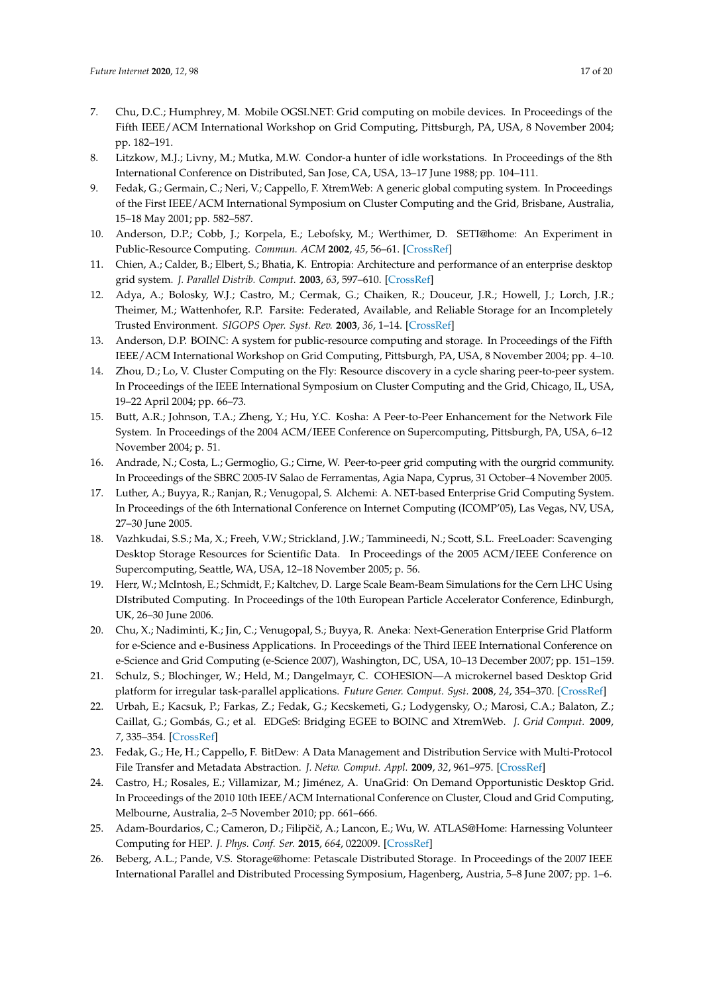- <span id="page-16-0"></span>7. Chu, D.C.; Humphrey, M. Mobile OGSI.NET: Grid computing on mobile devices. In Proceedings of the Fifth IEEE/ACM International Workshop on Grid Computing, Pittsburgh, PA, USA, 8 November 2004; pp. 182–191.
- <span id="page-16-1"></span>8. Litzkow, M.J.; Livny, M.; Mutka, M.W. Condor-a hunter of idle workstations. In Proceedings of the 8th International Conference on Distributed, San Jose, CA, USA, 13–17 June 1988; pp. 104–111.
- <span id="page-16-2"></span>9. Fedak, G.; Germain, C.; Neri, V.; Cappello, F. XtremWeb: A generic global computing system. In Proceedings of the First IEEE/ACM International Symposium on Cluster Computing and the Grid, Brisbane, Australia, 15–18 May 2001; pp. 582–587.
- <span id="page-16-3"></span>10. Anderson, D.P.; Cobb, J.; Korpela, E.; Lebofsky, M.; Werthimer, D. SETI@home: An Experiment in Public-Resource Computing. *Commun. ACM* **2002**, *45*, 56–61. [\[CrossRef\]](http://dx.doi.org/10.1145/581571.581573)
- <span id="page-16-4"></span>11. Chien, A.; Calder, B.; Elbert, S.; Bhatia, K. Entropia: Architecture and performance of an enterprise desktop grid system. *J. Parallel Distrib. Comput.* **2003**, *63*, 597–610. [\[CrossRef\]](http://dx.doi.org/10.1016/S0743-7315(03)00006-6)
- <span id="page-16-5"></span>12. Adya, A.; Bolosky, W.J.; Castro, M.; Cermak, G.; Chaiken, R.; Douceur, J.R.; Howell, J.; Lorch, J.R.; Theimer, M.; Wattenhofer, R.P. Farsite: Federated, Available, and Reliable Storage for an Incompletely Trusted Environment. *SIGOPS Oper. Syst. Rev.* **2003**, *36*, 1–14. [\[CrossRef\]](http://dx.doi.org/10.1145/844128.844130)
- <span id="page-16-6"></span>13. Anderson, D.P. BOINC: A system for public-resource computing and storage. In Proceedings of the Fifth IEEE/ACM International Workshop on Grid Computing, Pittsburgh, PA, USA, 8 November 2004; pp. 4–10.
- <span id="page-16-7"></span>14. Zhou, D.; Lo, V. Cluster Computing on the Fly: Resource discovery in a cycle sharing peer-to-peer system. In Proceedings of the IEEE International Symposium on Cluster Computing and the Grid, Chicago, IL, USA, 19–22 April 2004; pp. 66–73.
- <span id="page-16-8"></span>15. Butt, A.R.; Johnson, T.A.; Zheng, Y.; Hu, Y.C. Kosha: A Peer-to-Peer Enhancement for the Network File System. In Proceedings of the 2004 ACM/IEEE Conference on Supercomputing, Pittsburgh, PA, USA, 6–12 November 2004; p. 51.
- <span id="page-16-9"></span>16. Andrade, N.; Costa, L.; Germoglio, G.; Cirne, W. Peer-to-peer grid computing with the ourgrid community. In Proceedings of the SBRC 2005-IV Salao de Ferramentas, Agia Napa, Cyprus, 31 October–4 November 2005.
- <span id="page-16-10"></span>17. Luther, A.; Buyya, R.; Ranjan, R.; Venugopal, S. Alchemi: A. NET-based Enterprise Grid Computing System. In Proceedings of the 6th International Conference on Internet Computing (ICOMP'05), Las Vegas, NV, USA, 27–30 June 2005.
- <span id="page-16-11"></span>18. Vazhkudai, S.S.; Ma, X.; Freeh, V.W.; Strickland, J.W.; Tammineedi, N.; Scott, S.L. FreeLoader: Scavenging Desktop Storage Resources for Scientific Data. In Proceedings of the 2005 ACM/IEEE Conference on Supercomputing, Seattle, WA, USA, 12–18 November 2005; p. 56.
- <span id="page-16-12"></span>19. Herr, W.; McIntosh, E.; Schmidt, F.; Kaltchev, D. Large Scale Beam-Beam Simulations for the Cern LHC Using DIstributed Computing. In Proceedings of the 10th European Particle Accelerator Conference, Edinburgh, UK, 26–30 June 2006.
- <span id="page-16-13"></span>20. Chu, X.; Nadiminti, K.; Jin, C.; Venugopal, S.; Buyya, R. Aneka: Next-Generation Enterprise Grid Platform for e-Science and e-Business Applications. In Proceedings of the Third IEEE International Conference on e-Science and Grid Computing (e-Science 2007), Washington, DC, USA, 10–13 December 2007; pp. 151–159.
- <span id="page-16-14"></span>21. Schulz, S.; Blochinger, W.; Held, M.; Dangelmayr, C. COHESION—A microkernel based Desktop Grid platform for irregular task-parallel applications. *Future Gener. Comput. Syst.* **2008**, *24*, 354–370. [\[CrossRef\]](http://dx.doi.org/10.1016/j.future.2007.06.005)
- <span id="page-16-15"></span>22. Urbah, E.; Kacsuk, P.; Farkas, Z.; Fedak, G.; Kecskemeti, G.; Lodygensky, O.; Marosi, C.A.; Balaton, Z.; Caillat, G.; Gombás, G.; et al. EDGeS: Bridging EGEE to BOINC and XtremWeb. *J. Grid Comput.* **2009**, *7*, 335–354. [\[CrossRef\]](http://dx.doi.org/10.1007/s10723-009-9137-0)
- <span id="page-16-16"></span>23. Fedak, G.; He, H.; Cappello, F. BitDew: A Data Management and Distribution Service with Multi-Protocol File Transfer and Metadata Abstraction. *J. Netw. Comput. Appl.* **2009**, *32*, 961–975. [\[CrossRef\]](http://dx.doi.org/10.1016/j.jnca.2009.04.002)
- <span id="page-16-17"></span>24. Castro, H.; Rosales, E.; Villamizar, M.; Jiménez, A. UnaGrid: On Demand Opportunistic Desktop Grid. In Proceedings of the 2010 10th IEEE/ACM International Conference on Cluster, Cloud and Grid Computing, Melbourne, Australia, 2–5 November 2010; pp. 661–666.
- <span id="page-16-18"></span>25. Adam-Bourdarios, C.; Cameron, D.; Filipčič, A.; Lancon, E.; Wu, W. ATLAS@Home: Harnessing Volunteer Computing for HEP. *J. Phys. Conf. Ser.* **2015**, *664*, 022009. [\[CrossRef\]](http://dx.doi.org/10.1088/1742-6596/664/2/022009)
- <span id="page-16-19"></span>26. Beberg, A.L.; Pande, V.S. Storage@home: Petascale Distributed Storage. In Proceedings of the 2007 IEEE International Parallel and Distributed Processing Symposium, Hagenberg, Austria, 5–8 June 2007; pp. 1–6.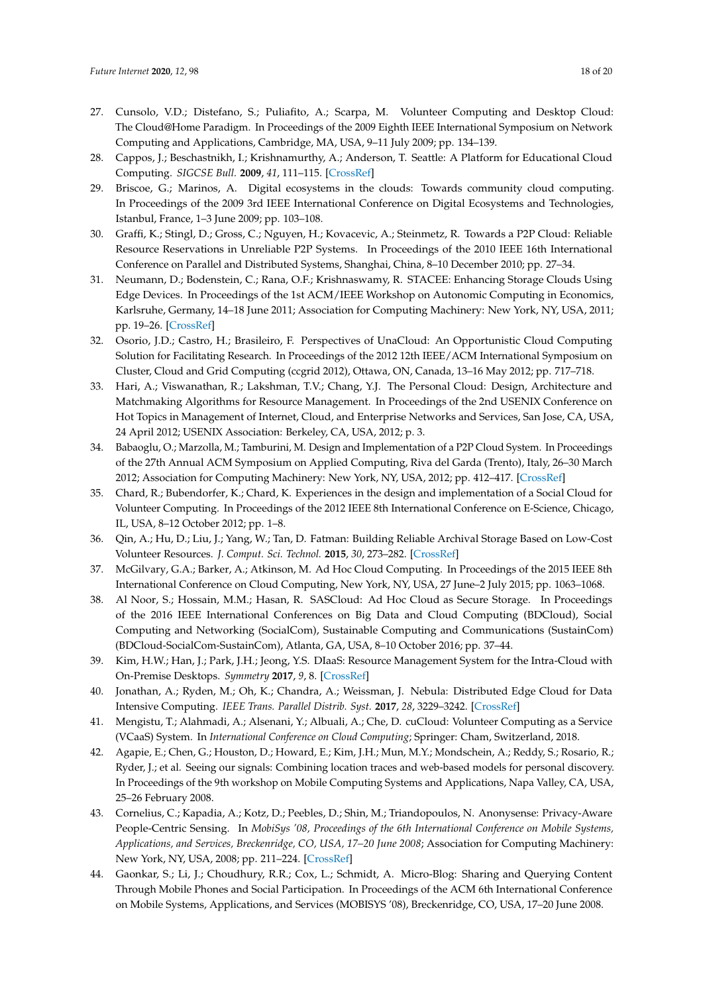- <span id="page-17-0"></span>27. Cunsolo, V.D.; Distefano, S.; Puliafito, A.; Scarpa, M. Volunteer Computing and Desktop Cloud: The Cloud@Home Paradigm. In Proceedings of the 2009 Eighth IEEE International Symposium on Network Computing and Applications, Cambridge, MA, USA, 9–11 July 2009; pp. 134–139.
- <span id="page-17-1"></span>28. Cappos, J.; Beschastnikh, I.; Krishnamurthy, A.; Anderson, T. Seattle: A Platform for Educational Cloud Computing. *SIGCSE Bull.* **2009**, *41*, 111–115. [\[CrossRef\]](http://dx.doi.org/10.1145/1539024.1508905)
- <span id="page-17-2"></span>29. Briscoe, G.; Marinos, A. Digital ecosystems in the clouds: Towards community cloud computing. In Proceedings of the 2009 3rd IEEE International Conference on Digital Ecosystems and Technologies, Istanbul, France, 1–3 June 2009; pp. 103–108.
- <span id="page-17-3"></span>30. Graffi, K.; Stingl, D.; Gross, C.; Nguyen, H.; Kovacevic, A.; Steinmetz, R. Towards a P2P Cloud: Reliable Resource Reservations in Unreliable P2P Systems. In Proceedings of the 2010 IEEE 16th International Conference on Parallel and Distributed Systems, Shanghai, China, 8–10 December 2010; pp. 27–34.
- <span id="page-17-4"></span>31. Neumann, D.; Bodenstein, C.; Rana, O.F.; Krishnaswamy, R. STACEE: Enhancing Storage Clouds Using Edge Devices. In Proceedings of the 1st ACM/IEEE Workshop on Autonomic Computing in Economics, Karlsruhe, Germany, 14–18 June 2011; Association for Computing Machinery: New York, NY, USA, 2011; pp. 19–26. [\[CrossRef\]](http://dx.doi.org/10.1145/1998561.1998567)
- <span id="page-17-5"></span>32. Osorio, J.D.; Castro, H.; Brasileiro, F. Perspectives of UnaCloud: An Opportunistic Cloud Computing Solution for Facilitating Research. In Proceedings of the 2012 12th IEEE/ACM International Symposium on Cluster, Cloud and Grid Computing (ccgrid 2012), Ottawa, ON, Canada, 13–16 May 2012; pp. 717–718.
- <span id="page-17-6"></span>33. Hari, A.; Viswanathan, R.; Lakshman, T.V.; Chang, Y.J. The Personal Cloud: Design, Architecture and Matchmaking Algorithms for Resource Management. In Proceedings of the 2nd USENIX Conference on Hot Topics in Management of Internet, Cloud, and Enterprise Networks and Services, San Jose, CA, USA, 24 April 2012; USENIX Association: Berkeley, CA, USA, 2012; p. 3.
- <span id="page-17-7"></span>34. Babaoglu, O.; Marzolla, M.; Tamburini, M. Design and Implementation of a P2P Cloud System. In Proceedings of the 27th Annual ACM Symposium on Applied Computing, Riva del Garda (Trento), Italy, 26–30 March 2012; Association for Computing Machinery: New York, NY, USA, 2012; pp. 412–417. [\[CrossRef\]](http://dx.doi.org/10.1145/2245276.2245357)
- <span id="page-17-8"></span>35. Chard, R.; Bubendorfer, K.; Chard, K. Experiences in the design and implementation of a Social Cloud for Volunteer Computing. In Proceedings of the 2012 IEEE 8th International Conference on E-Science, Chicago, IL, USA, 8–12 October 2012; pp. 1–8.
- <span id="page-17-9"></span>36. Qin, A.; Hu, D.; Liu, J.; Yang, W.; Tan, D. Fatman: Building Reliable Archival Storage Based on Low-Cost Volunteer Resources. *J. Comput. Sci. Technol.* **2015**, *30*, 273–282. [\[CrossRef\]](http://dx.doi.org/10.1007/s11390-015-1521-6)
- <span id="page-17-10"></span>37. McGilvary, G.A.; Barker, A.; Atkinson, M. Ad Hoc Cloud Computing. In Proceedings of the 2015 IEEE 8th International Conference on Cloud Computing, New York, NY, USA, 27 June–2 July 2015; pp. 1063–1068.
- <span id="page-17-11"></span>38. Al Noor, S.; Hossain, M.M.; Hasan, R. SASCloud: Ad Hoc Cloud as Secure Storage. In Proceedings of the 2016 IEEE International Conferences on Big Data and Cloud Computing (BDCloud), Social Computing and Networking (SocialCom), Sustainable Computing and Communications (SustainCom) (BDCloud-SocialCom-SustainCom), Atlanta, GA, USA, 8–10 October 2016; pp. 37–44.
- <span id="page-17-12"></span>39. Kim, H.W.; Han, J.; Park, J.H.; Jeong, Y.S. DIaaS: Resource Management System for the Intra-Cloud with On-Premise Desktops. *Symmetry* **2017**, *9*, 8. [\[CrossRef\]](http://dx.doi.org/10.3390/sym9010008)
- <span id="page-17-13"></span>40. Jonathan, A.; Ryden, M.; Oh, K.; Chandra, A.; Weissman, J. Nebula: Distributed Edge Cloud for Data Intensive Computing. *IEEE Trans. Parallel Distrib. Syst.* **2017**, *28*, 3229–3242. [\[CrossRef\]](http://dx.doi.org/10.1109/TPDS.2017.2717883)
- <span id="page-17-14"></span>41. Mengistu, T.; Alahmadi, A.; Alsenani, Y.; Albuali, A.; Che, D. cuCloud: Volunteer Computing as a Service (VCaaS) System. In *International Conference on Cloud Computing*; Springer: Cham, Switzerland, 2018.
- <span id="page-17-15"></span>42. Agapie, E.; Chen, G.; Houston, D.; Howard, E.; Kim, J.H.; Mun, M.Y.; Mondschein, A.; Reddy, S.; Rosario, R.; Ryder, J.; et al. Seeing our signals: Combining location traces and web-based models for personal discovery. In Proceedings of the 9th workshop on Mobile Computing Systems and Applications, Napa Valley, CA, USA, 25–26 February 2008.
- <span id="page-17-16"></span>43. Cornelius, C.; Kapadia, A.; Kotz, D.; Peebles, D.; Shin, M.; Triandopoulos, N. Anonysense: Privacy-Aware People-Centric Sensing. In *MobiSys '08, Proceedings of the 6th International Conference on Mobile Systems, Applications, and Services, Breckenridge, CO, USA, 17–20 June 2008*; Association for Computing Machinery: New York, NY, USA, 2008; pp. 211–224. [\[CrossRef\]](http://dx.doi.org/10.1145/1378600.1378624)
- <span id="page-17-17"></span>44. Gaonkar, S.; Li, J.; Choudhury, R.R.; Cox, L.; Schmidt, A. Micro-Blog: Sharing and Querying Content Through Mobile Phones and Social Participation. In Proceedings of the ACM 6th International Conference on Mobile Systems, Applications, and Services (MOBISYS '08), Breckenridge, CO, USA, 17–20 June 2008.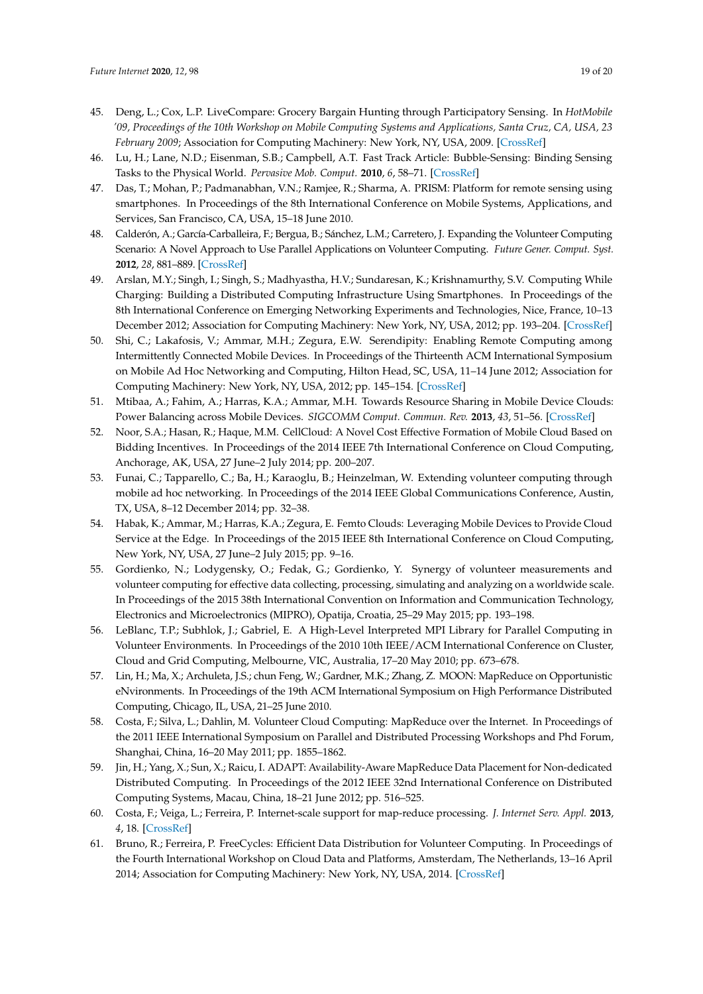- <span id="page-18-0"></span>45. Deng, L.; Cox, L.P. LiveCompare: Grocery Bargain Hunting through Participatory Sensing. In *HotMobile '09, Proceedings of the 10th Workshop on Mobile Computing Systems and Applications, Santa Cruz, CA, USA, 23 February 2009*; Association for Computing Machinery: New York, NY, USA, 2009. [\[CrossRef\]](http://dx.doi.org/10.1145/1514411.1514415)
- <span id="page-18-1"></span>46. Lu, H.; Lane, N.D.; Eisenman, S.B.; Campbell, A.T. Fast Track Article: Bubble-Sensing: Binding Sensing Tasks to the Physical World. *Pervasive Mob. Comput.* **2010**, *6*, 58–71. [\[CrossRef\]](http://dx.doi.org/10.1016/j.pmcj.2009.10.005)
- <span id="page-18-2"></span>47. Das, T.; Mohan, P.; Padmanabhan, V.N.; Ramjee, R.; Sharma, A. PRISM: Platform for remote sensing using smartphones. In Proceedings of the 8th International Conference on Mobile Systems, Applications, and Services, San Francisco, CA, USA, 15–18 June 2010.
- <span id="page-18-3"></span>48. Calderón, A.; García-Carballeira, F.; Bergua, B.; Sánchez, L.M.; Carretero, J. Expanding the Volunteer Computing Scenario: A Novel Approach to Use Parallel Applications on Volunteer Computing. *Future Gener. Comput. Syst.* **2012**, *28*, 881–889. [\[CrossRef\]](http://dx.doi.org/10.1016/j.future.2011.04.004)
- <span id="page-18-4"></span>49. Arslan, M.Y.; Singh, I.; Singh, S.; Madhyastha, H.V.; Sundaresan, K.; Krishnamurthy, S.V. Computing While Charging: Building a Distributed Computing Infrastructure Using Smartphones. In Proceedings of the 8th International Conference on Emerging Networking Experiments and Technologies, Nice, France, 10–13 December 2012; Association for Computing Machinery: New York, NY, USA, 2012; pp. 193–204. [\[CrossRef\]](http://dx.doi.org/10.1145/2413176.2413199)
- <span id="page-18-5"></span>50. Shi, C.; Lakafosis, V.; Ammar, M.H.; Zegura, E.W. Serendipity: Enabling Remote Computing among Intermittently Connected Mobile Devices. In Proceedings of the Thirteenth ACM International Symposium on Mobile Ad Hoc Networking and Computing, Hilton Head, SC, USA, 11–14 June 2012; Association for Computing Machinery: New York, NY, USA, 2012; pp. 145–154. [\[CrossRef\]](http://dx.doi.org/10.1145/2248371.2248394)
- <span id="page-18-6"></span>51. Mtibaa, A.; Fahim, A.; Harras, K.A.; Ammar, M.H. Towards Resource Sharing in Mobile Device Clouds: Power Balancing across Mobile Devices. *SIGCOMM Comput. Commun. Rev.* **2013**, *43*, 51–56. [\[CrossRef\]](http://dx.doi.org/10.1145/2534169.2491276)
- <span id="page-18-7"></span>52. Noor, S.A.; Hasan, R.; Haque, M.M. CellCloud: A Novel Cost Effective Formation of Mobile Cloud Based on Bidding Incentives. In Proceedings of the 2014 IEEE 7th International Conference on Cloud Computing, Anchorage, AK, USA, 27 June–2 July 2014; pp. 200–207.
- <span id="page-18-8"></span>53. Funai, C.; Tapparello, C.; Ba, H.; Karaoglu, B.; Heinzelman, W. Extending volunteer computing through mobile ad hoc networking. In Proceedings of the 2014 IEEE Global Communications Conference, Austin, TX, USA, 8–12 December 2014; pp. 32–38.
- <span id="page-18-9"></span>54. Habak, K.; Ammar, M.; Harras, K.A.; Zegura, E. Femto Clouds: Leveraging Mobile Devices to Provide Cloud Service at the Edge. In Proceedings of the 2015 IEEE 8th International Conference on Cloud Computing, New York, NY, USA, 27 June–2 July 2015; pp. 9–16.
- <span id="page-18-10"></span>55. Gordienko, N.; Lodygensky, O.; Fedak, G.; Gordienko, Y. Synergy of volunteer measurements and volunteer computing for effective data collecting, processing, simulating and analyzing on a worldwide scale. In Proceedings of the 2015 38th International Convention on Information and Communication Technology, Electronics and Microelectronics (MIPRO), Opatija, Croatia, 25–29 May 2015; pp. 193–198.
- <span id="page-18-11"></span>56. LeBlanc, T.P.; Subhlok, J.; Gabriel, E. A High-Level Interpreted MPI Library for Parallel Computing in Volunteer Environments. In Proceedings of the 2010 10th IEEE/ACM International Conference on Cluster, Cloud and Grid Computing, Melbourne, VIC, Australia, 17–20 May 2010; pp. 673–678.
- <span id="page-18-12"></span>57. Lin, H.; Ma, X.; Archuleta, J.S.; chun Feng, W.; Gardner, M.K.; Zhang, Z. MOON: MapReduce on Opportunistic eNvironments. In Proceedings of the 19th ACM International Symposium on High Performance Distributed Computing, Chicago, IL, USA, 21–25 June 2010.
- <span id="page-18-13"></span>58. Costa, F.; Silva, L.; Dahlin, M. Volunteer Cloud Computing: MapReduce over the Internet. In Proceedings of the 2011 IEEE International Symposium on Parallel and Distributed Processing Workshops and Phd Forum, Shanghai, China, 16–20 May 2011; pp. 1855–1862.
- <span id="page-18-14"></span>59. Jin, H.; Yang, X.; Sun, X.; Raicu, I. ADAPT: Availability-Aware MapReduce Data Placement for Non-dedicated Distributed Computing. In Proceedings of the 2012 IEEE 32nd International Conference on Distributed Computing Systems, Macau, China, 18–21 June 2012; pp. 516–525.
- <span id="page-18-15"></span>60. Costa, F.; Veiga, L.; Ferreira, P. Internet-scale support for map-reduce processing. *J. Internet Serv. Appl.* **2013**, *4*, 18. [\[CrossRef\]](http://dx.doi.org/10.1186/1869-0238-4-18)
- <span id="page-18-16"></span>61. Bruno, R.; Ferreira, P. FreeCycles: Efficient Data Distribution for Volunteer Computing. In Proceedings of the Fourth International Workshop on Cloud Data and Platforms, Amsterdam, The Netherlands, 13–16 April 2014; Association for Computing Machinery: New York, NY, USA, 2014. [\[CrossRef\]](http://dx.doi.org/10.1145/2592784.2592788)